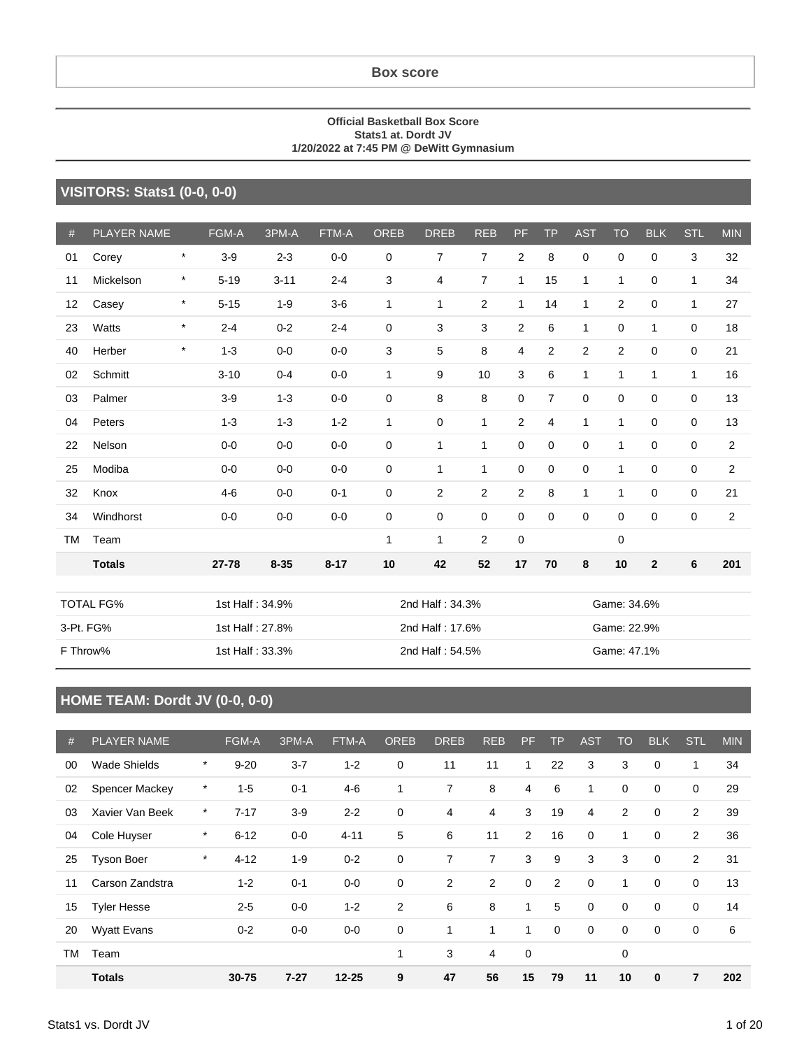#### **Box score**

#### **Official Basketball Box Score Stats1 at. Dordt JV 1/20/2022 at 7:45 PM @ DeWitt Gymnasium**

#### **VISITORS: Stats1 (0-0, 0-0)**

| #         | <b>PLAYER NAME</b> |                 | FGM-A    | 3PM-A           | FTM-A    | <b>OREB</b>     | <b>DREB</b>     | <b>REB</b>     | PF.            | <b>TP</b>   | <b>AST</b>     | <b>TO</b>      | <b>BLK</b>     | <b>STL</b>   | <b>MIN</b>     |
|-----------|--------------------|-----------------|----------|-----------------|----------|-----------------|-----------------|----------------|----------------|-------------|----------------|----------------|----------------|--------------|----------------|
| 01        | Corey              | $\star$         | $3-9$    | $2 - 3$         | $0 - 0$  | 0               | 7               | 7              | $\mathbf{2}$   | 8           | 0              | $\mathbf 0$    | $\mathbf 0$    | 3            | 32             |
| 11        | Mickelson          | $\ast$          | $5 - 19$ | $3 - 11$        | $2 - 4$  | 3               | 4               | $\overline{7}$ | $\mathbf{1}$   | 15          | 1              | $\mathbf{1}$   | $\mathbf 0$    | $\mathbf{1}$ | 34             |
| 12        | Casey              | $\star$         | $5 - 15$ | $1 - 9$         | $3-6$    | 1               | 1               | 2              | 1              | 14          | 1              | $\overline{2}$ | $\mathbf 0$    | 1            | 27             |
| 23        | Watts              | $\ast$          | $2 - 4$  | $0 - 2$         | $2 - 4$  | 0               | 3               | 3              | 2              | 6           | $\mathbf{1}$   | $\mathbf 0$    | $\mathbf{1}$   | $\mathbf 0$  | 18             |
| 40        | Herber             | $\ast$          | $1 - 3$  | $0-0$           | $0 - 0$  | 3               | 5               | 8              | 4              | 2           | $\overline{2}$ | $\overline{2}$ | $\mathbf 0$    | $\mathbf 0$  | 21             |
| 02        | Schmitt            |                 | $3 - 10$ | $0 - 4$         | $0 - 0$  | 1               | 9               | 10             | 3              | 6           | 1              | $\mathbf{1}$   | 1              | $\mathbf{1}$ | 16             |
| 03        | Palmer             |                 | $3-9$    | $1 - 3$         | $0 - 0$  | 0               | 8               | 8              | 0              | 7           | 0              | $\mathbf 0$    | 0              | $\mathbf 0$  | 13             |
| 04        | Peters             |                 | $1 - 3$  | $1 - 3$         | $1 - 2$  | 1               | 0               | 1              | $\overline{2}$ | 4           | 1              | $\mathbf{1}$   | 0              | $\mathbf 0$  | 13             |
| 22        | Nelson             |                 | $0 - 0$  | $0 - 0$         | $0 - 0$  | 0               | $\mathbf{1}$    | 1              | 0              | 0           | 0              | 1              | 0              | $\mathbf 0$  | $\overline{2}$ |
| 25        | Modiba             |                 | $0-0$    | $0-0$           | $0 - 0$  | 0               | $\mathbf{1}$    | 1              | 0              | $\mathbf 0$ | 0              | 1              | $\mathbf 0$    | 0            | $\overline{c}$ |
| 32        | Knox               |                 | $4-6$    | $0 - 0$         | $0 - 1$  | 0               | $\overline{2}$  | $\overline{2}$ | $\overline{c}$ | 8           | 1              | 1              | $\mathbf 0$    | $\mathbf 0$  | 21             |
| 34        | Windhorst          |                 | $0-0$    | $0-0$           | $0 - 0$  | 0               | 0               | $\mathbf 0$    | 0              | $\mathbf 0$ | 0              | $\mathbf 0$    | $\mathbf 0$    | $\mathbf 0$  | $\overline{c}$ |
| <b>TM</b> | Team               |                 |          |                 |          | 1               | $\mathbf{1}$    | 2              | 0              |             |                | 0              |                |              |                |
|           | <b>Totals</b>      |                 | 27-78    | $8 - 35$        | $8 - 17$ | 10              | 42              | 52             | 17             | 70          | 8              | 10             | $\overline{2}$ | 6            | 201            |
|           | <b>TOTAL FG%</b>   | 1st Half: 34.9% |          |                 |          | 2nd Half: 34.3% |                 |                |                |             |                | Game: 34.6%    |                |              |                |
|           | 3-Pt. FG%          |                 |          | 1st Half: 27.8% |          | 2nd Half: 17.6% |                 |                |                | Game: 22.9% |                |                |                |              |                |
|           | F Throw%           |                 |          | 1st Half: 33.3% |          |                 | 2nd Half: 54.5% |                |                |             |                | Game: 47.1%    |                |              |                |

### **HOME TEAM: Dordt JV (0-0, 0-0)**

| #  | <b>PLAYER NAME</b>    |         | <b>FGM-A</b> | 3PM-A    | FTM-A     | <b>OREB</b>  | <b>DREB</b>    | <b>REB</b>     | <b>PF</b>    | <b>TP</b>      | <b>AST</b>  | <b>TO</b>   | <b>BLK</b>  | <b>STL</b>  | <b>MIN</b> |
|----|-----------------------|---------|--------------|----------|-----------|--------------|----------------|----------------|--------------|----------------|-------------|-------------|-------------|-------------|------------|
| 00 | <b>Wade Shields</b>   | $\ast$  | $9 - 20$     | $3 - 7$  | $1 - 2$   | $\mathbf 0$  | 11             | 11             | 1            | 22             | 3           | 3           | $\mathbf 0$ | 1           | 34         |
| 02 | <b>Spencer Mackey</b> | *       | $1 - 5$      | $0 - 1$  | $4 - 6$   | $\mathbf{1}$ | $\overline{7}$ | 8              | 4            | 6              | 1           | $\mathbf 0$ | $\mathbf 0$ | 0           | 29         |
| 03 | Xavier Van Beek       | *       | $7 - 17$     | $3-9$    | $2 - 2$   | 0            | 4              | 4              | 3            | 19             | 4           | 2           | $\mathbf 0$ | 2           | 39         |
| 04 | Cole Huyser           | $\ast$  | $6 - 12$     | $0-0$    | $4 - 11$  | 5            | 6              | 11             | 2            | 16             | $\mathbf 0$ | 1           | $\mathbf 0$ | 2           | 36         |
| 25 | <b>Tyson Boer</b>     | $\star$ | $4 - 12$     | $1 - 9$  | $0 - 2$   | 0            | 7              | $\overline{7}$ | 3            | 9              | 3           | 3           | $\mathbf 0$ | 2           | 31         |
| 11 | Carson Zandstra       |         | $1 - 2$      | $0 - 1$  | $0-0$     | $\mathbf 0$  | 2              | $\overline{2}$ | $\mathbf 0$  | $\overline{2}$ | $\mathbf 0$ | 1           | $\mathbf 0$ | $\mathbf 0$ | 13         |
| 15 | <b>Tyler Hesse</b>    |         | $2 - 5$      | $0-0$    | $1 - 2$   | 2            | 6              | 8              | $\mathbf{1}$ | 5              | $\mathbf 0$ | $\mathbf 0$ | $\mathbf 0$ | $\mathbf 0$ | 14         |
| 20 | <b>Wyatt Evans</b>    |         | $0 - 2$      | $0-0$    | $0-0$     | 0            | 1              | 1              | $\mathbf{1}$ | 0              | 0           | 0           | 0           | 0           | 6          |
| TM | Team                  |         |              |          |           | 1            | 3              | 4              | $\mathbf 0$  |                |             | 0           |             |             |            |
|    | <b>Totals</b>         |         | 30-75        | $7 - 27$ | $12 - 25$ | 9            | 47             | 56             | 15           | 79             | 11          | 10          | $\bf{0}$    | 7           | 202        |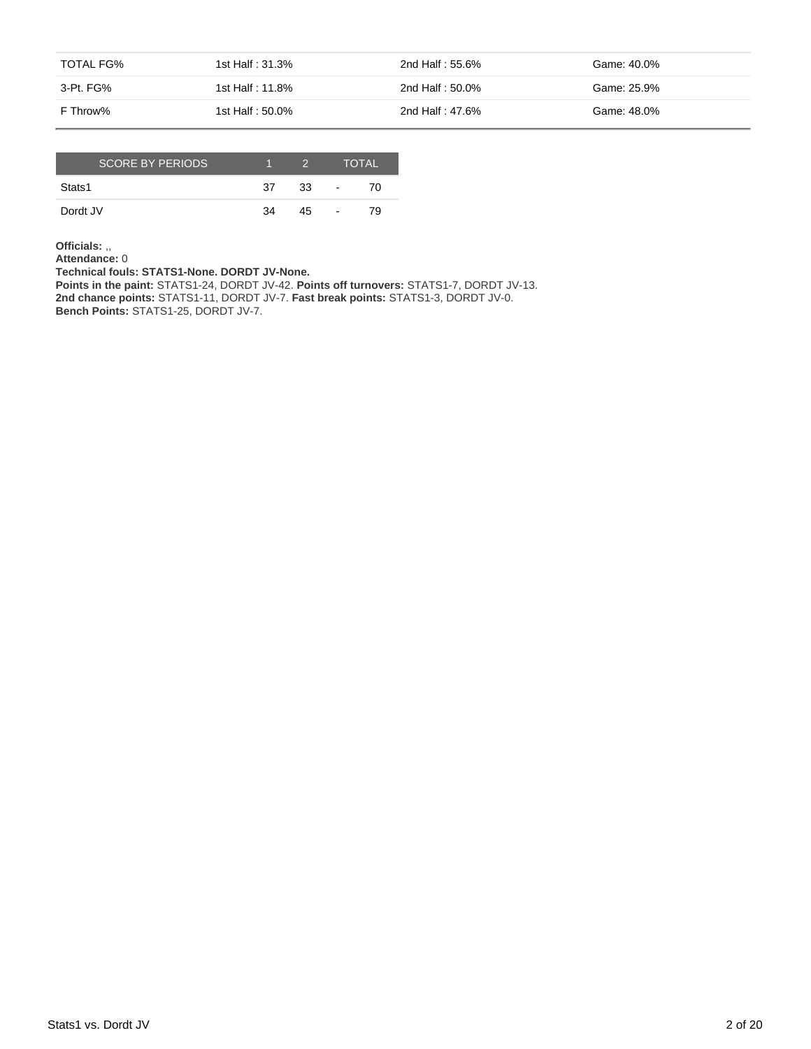| TOTAL FG% | 1st Half : 31.3% | 2nd Half : 55.6% | Game: 40.0% |
|-----------|------------------|------------------|-------------|
| 3-Pt. FG% | 1st Half : 11.8% | 2nd Half : 50.0% | Game: 25.9% |
| F Throw%  | 1st Half: 50.0%  | 2nd Half: 47.6%  | Game: 48.0% |

| <b>SCORE BY PERIODS.</b> |    | 2  |                          | <b>TOTAL</b> |
|--------------------------|----|----|--------------------------|--------------|
| Stats1                   | 37 | 33 | $\overline{\phantom{a}}$ | 70.          |
| Dordt JV                 | 34 | 45 | $\blacksquare$           | 79           |

**Officials:** ,,

**Attendance:** 0

**Technical fouls: STATS1-None. DORDT JV-None.**

**Points in the paint:** STATS1-24, DORDT JV-42. **Points off turnovers:** STATS1-7, DORDT JV-13. **2nd chance points:** STATS1-11, DORDT JV-7. **Fast break points:** STATS1-3, DORDT JV-0. **Bench Points:** STATS1-25, DORDT JV-7.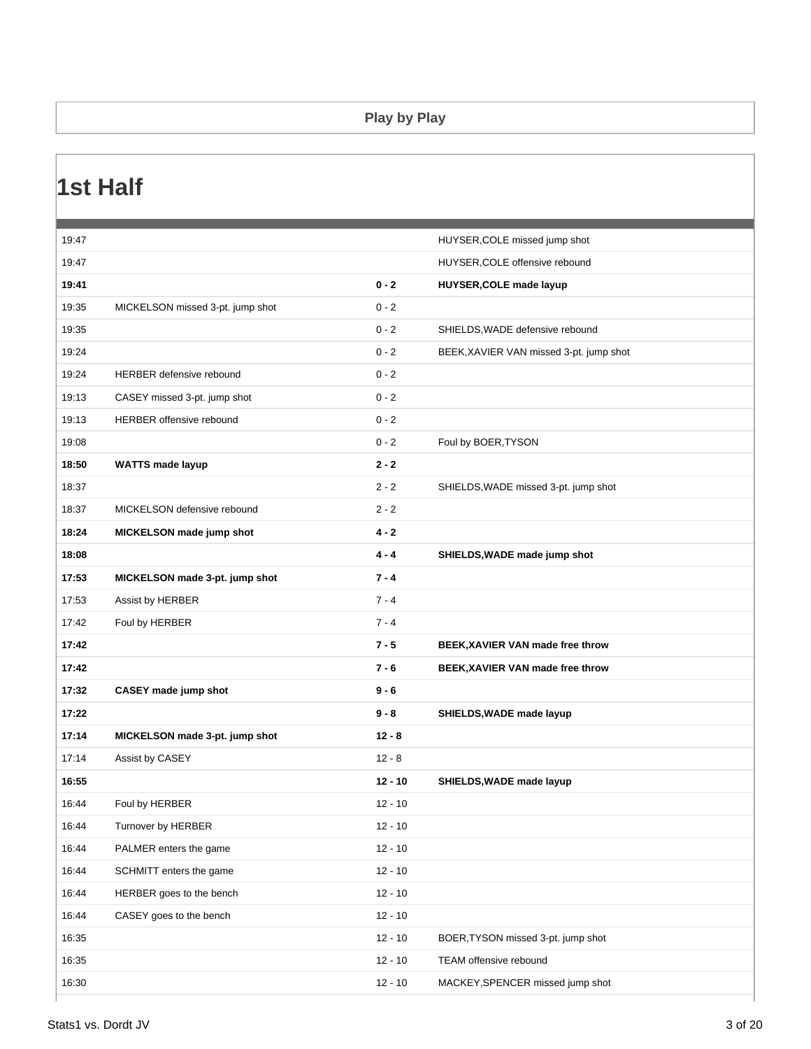#### **Play by Play**

### **1st Half**

| 19:47 |                                  |           | HUYSER, COLE missed jump shot           |
|-------|----------------------------------|-----------|-----------------------------------------|
| 19:47 |                                  |           | HUYSER, COLE offensive rebound          |
| 19:41 |                                  | $0 - 2$   | HUYSER, COLE made layup                 |
| 19:35 | MICKELSON missed 3-pt. jump shot | $0 - 2$   |                                         |
| 19:35 |                                  | $0 - 2$   | SHIELDS, WADE defensive rebound         |
| 19:24 |                                  | $0 - 2$   | BEEK, XAVIER VAN missed 3-pt. jump shot |
| 19:24 | <b>HERBER defensive rebound</b>  | $0 - 2$   |                                         |
| 19:13 | CASEY missed 3-pt. jump shot     | $0 - 2$   |                                         |
| 19:13 | HERBER offensive rebound         | $0 - 2$   |                                         |
| 19:08 |                                  | $0 - 2$   | Foul by BOER, TYSON                     |
| 18:50 | <b>WATTS made layup</b>          | $2 - 2$   |                                         |
| 18:37 |                                  | $2 - 2$   | SHIELDS, WADE missed 3-pt. jump shot    |
| 18:37 | MICKELSON defensive rebound      | $2 - 2$   |                                         |
| 18:24 | MICKELSON made jump shot         | $4 - 2$   |                                         |
| 18:08 |                                  | $4 - 4$   | SHIELDS, WADE made jump shot            |
| 17:53 | MICKELSON made 3-pt. jump shot   | $7 - 4$   |                                         |
| 17:53 | Assist by HERBER                 | $7 - 4$   |                                         |
| 17:42 | Foul by HERBER                   | $7 - 4$   |                                         |
| 17:42 |                                  | $7 - 5$   | BEEK, XAVIER VAN made free throw        |
| 17:42 |                                  | $7 - 6$   | BEEK, XAVIER VAN made free throw        |
| 17:32 | CASEY made jump shot             | $9 - 6$   |                                         |
| 17:22 |                                  | $9 - 8$   | SHIELDS, WADE made layup                |
| 17:14 | MICKELSON made 3-pt. jump shot   | $12 - 8$  |                                         |
| 17:14 | Assist by CASEY                  | $12 - 8$  |                                         |
| 16:55 |                                  | $12 - 10$ | SHIELDS, WADE made layup                |
| 16:44 | Foul by HERBER                   | $12 - 10$ |                                         |
| 16:44 | Turnover by HERBER               | $12 - 10$ |                                         |
| 16:44 | PALMER enters the game           | $12 - 10$ |                                         |
| 16:44 | SCHMITT enters the game          | $12 - 10$ |                                         |
| 16:44 | HERBER goes to the bench         | $12 - 10$ |                                         |
| 16:44 | CASEY goes to the bench          | $12 - 10$ |                                         |
| 16:35 |                                  | $12 - 10$ | BOER, TYSON missed 3-pt. jump shot      |
| 16:35 |                                  | $12 - 10$ | TEAM offensive rebound                  |
| 16:30 |                                  | $12 - 10$ | MACKEY, SPENCER missed jump shot        |
|       |                                  |           |                                         |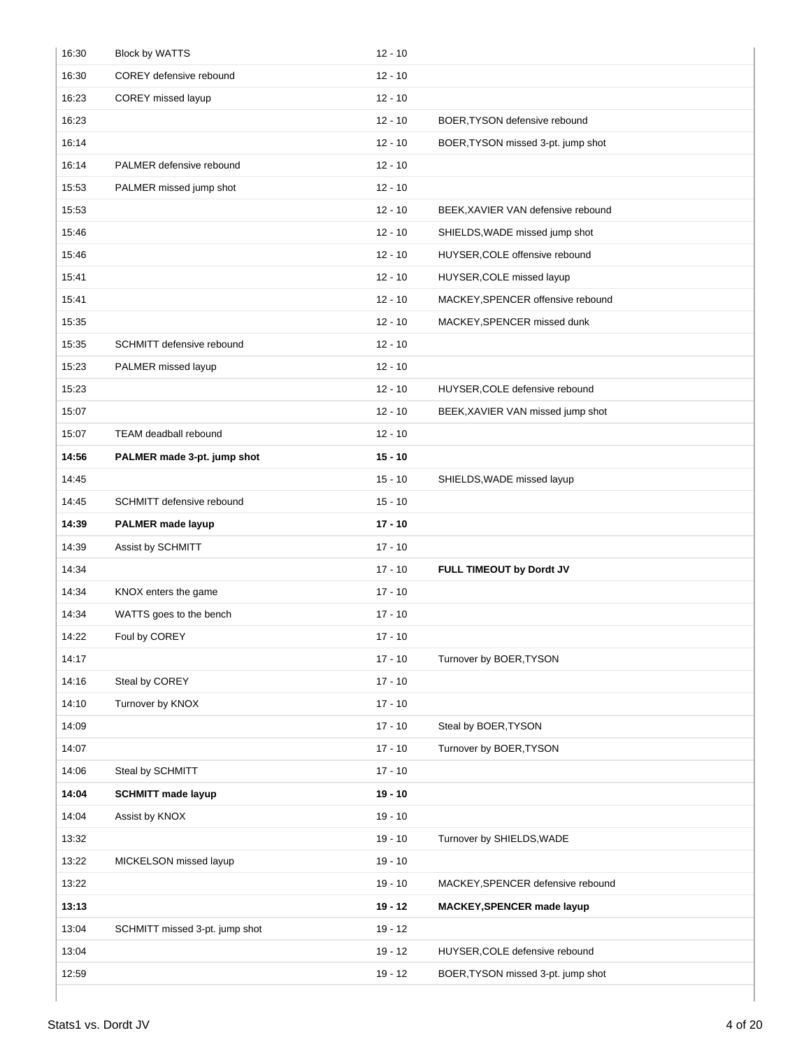| 16:30 | <b>Block by WATTS</b>          | $12 - 10$ |                                    |
|-------|--------------------------------|-----------|------------------------------------|
| 16:30 | COREY defensive rebound        | $12 - 10$ |                                    |
| 16:23 | COREY missed layup             | $12 - 10$ |                                    |
| 16:23 |                                | $12 - 10$ | BOER, TYSON defensive rebound      |
| 16:14 |                                | $12 - 10$ | BOER, TYSON missed 3-pt. jump shot |
| 16:14 | PALMER defensive rebound       | $12 - 10$ |                                    |
| 15:53 | PALMER missed jump shot        | $12 - 10$ |                                    |
| 15:53 |                                | $12 - 10$ | BEEK, XAVIER VAN defensive rebound |
| 15:46 |                                | $12 - 10$ | SHIELDS, WADE missed jump shot     |
| 15:46 |                                | $12 - 10$ | HUYSER, COLE offensive rebound     |
| 15:41 |                                | $12 - 10$ | HUYSER, COLE missed layup          |
| 15:41 |                                | $12 - 10$ | MACKEY, SPENCER offensive rebound  |
| 15:35 |                                | $12 - 10$ | MACKEY, SPENCER missed dunk        |
| 15:35 | SCHMITT defensive rebound      | $12 - 10$ |                                    |
| 15:23 | PALMER missed layup            | $12 - 10$ |                                    |
| 15:23 |                                | $12 - 10$ | HUYSER, COLE defensive rebound     |
| 15:07 |                                | $12 - 10$ | BEEK, XAVIER VAN missed jump shot  |
| 15:07 | TEAM deadball rebound          | $12 - 10$ |                                    |
| 14:56 | PALMER made 3-pt. jump shot    | $15 - 10$ |                                    |
| 14:45 |                                | $15 - 10$ | SHIELDS, WADE missed layup         |
| 14:45 | SCHMITT defensive rebound      | $15 - 10$ |                                    |
| 14:39 | <b>PALMER</b> made layup       | $17 - 10$ |                                    |
| 14:39 | Assist by SCHMITT              | $17 - 10$ |                                    |
| 14:34 |                                | $17 - 10$ | FULL TIMEOUT by Dordt JV           |
| 14:34 | KNOX enters the game           | $17 - 10$ |                                    |
| 14:34 | WATTS goes to the bench        | $17 - 10$ |                                    |
| 14:22 | Foul by COREY                  | $17 - 10$ |                                    |
| 14:17 |                                | $17 - 10$ | Turnover by BOER, TYSON            |
| 14:16 | Steal by COREY                 | $17 - 10$ |                                    |
| 14:10 | Turnover by KNOX               | $17 - 10$ |                                    |
| 14:09 |                                | $17 - 10$ | Steal by BOER, TYSON               |
| 14:07 |                                | $17 - 10$ | Turnover by BOER, TYSON            |
| 14:06 | Steal by SCHMITT               | $17 - 10$ |                                    |
| 14:04 | <b>SCHMITT made layup</b>      | $19 - 10$ |                                    |
| 14:04 | Assist by KNOX                 | $19 - 10$ |                                    |
| 13:32 |                                | $19 - 10$ | Turnover by SHIELDS, WADE          |
| 13:22 | MICKELSON missed layup         | $19 - 10$ |                                    |
| 13:22 |                                | $19 - 10$ | MACKEY, SPENCER defensive rebound  |
| 13:13 |                                | $19 - 12$ | <b>MACKEY, SPENCER made layup</b>  |
| 13:04 | SCHMITT missed 3-pt. jump shot | $19 - 12$ |                                    |
| 13:04 |                                | $19 - 12$ | HUYSER, COLE defensive rebound     |
| 12:59 |                                | $19 - 12$ | BOER, TYSON missed 3-pt. jump shot |
|       |                                |           |                                    |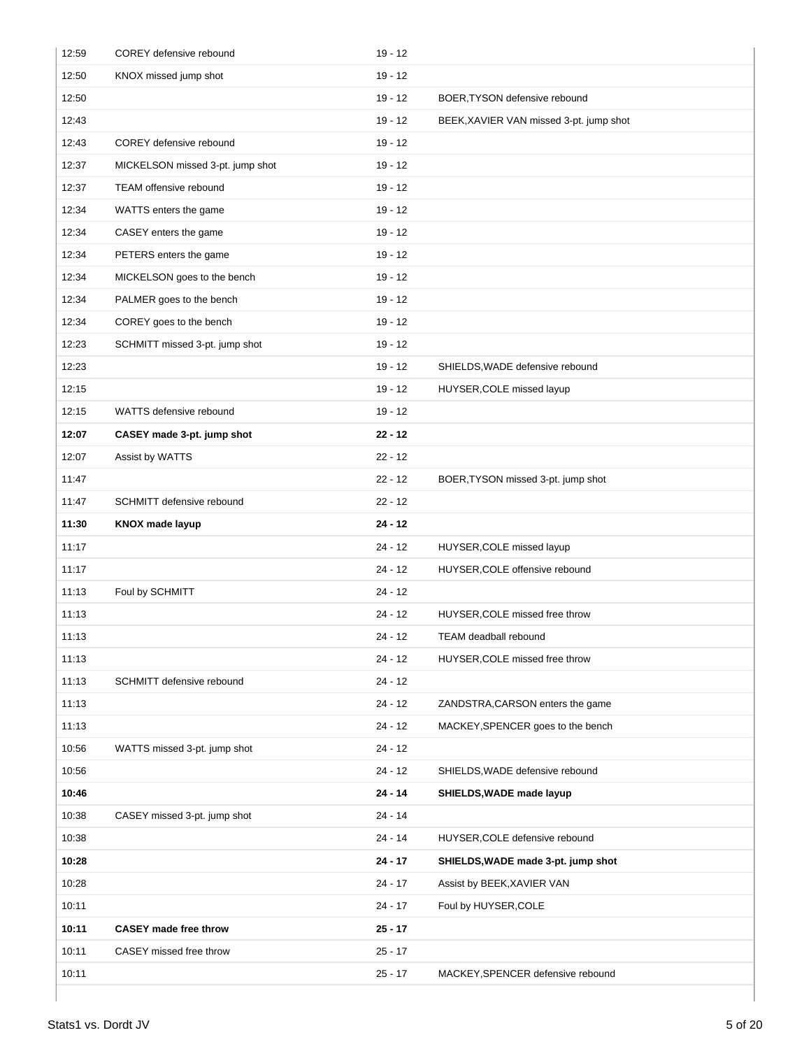| 12:59 | COREY defensive rebound          | $19 - 12$ |                                         |
|-------|----------------------------------|-----------|-----------------------------------------|
| 12:50 | KNOX missed jump shot            | $19 - 12$ |                                         |
| 12:50 |                                  | $19 - 12$ | BOER, TYSON defensive rebound           |
| 12:43 |                                  | $19 - 12$ | BEEK, XAVIER VAN missed 3-pt. jump shot |
| 12:43 | COREY defensive rebound          | $19 - 12$ |                                         |
| 12:37 | MICKELSON missed 3-pt. jump shot | $19 - 12$ |                                         |
| 12:37 | TEAM offensive rebound           | $19 - 12$ |                                         |
| 12:34 | WATTS enters the game            | $19 - 12$ |                                         |
| 12:34 | CASEY enters the game            | $19 - 12$ |                                         |
| 12:34 | PETERS enters the game           | $19 - 12$ |                                         |
| 12:34 | MICKELSON goes to the bench      | $19 - 12$ |                                         |
| 12:34 | PALMER goes to the bench         | $19 - 12$ |                                         |
| 12:34 | COREY goes to the bench          | $19 - 12$ |                                         |
| 12:23 | SCHMITT missed 3-pt. jump shot   | $19 - 12$ |                                         |
| 12:23 |                                  | $19 - 12$ | SHIELDS, WADE defensive rebound         |
| 12:15 |                                  | $19 - 12$ | HUYSER, COLE missed layup               |
| 12:15 | WATTS defensive rebound          | $19 - 12$ |                                         |
| 12:07 | CASEY made 3-pt. jump shot       | $22 - 12$ |                                         |
| 12:07 | Assist by WATTS                  | $22 - 12$ |                                         |
| 11:47 |                                  | $22 - 12$ | BOER, TYSON missed 3-pt. jump shot      |
| 11:47 | SCHMITT defensive rebound        | $22 - 12$ |                                         |
| 11:30 | <b>KNOX made layup</b>           | $24 - 12$ |                                         |
| 11:17 |                                  | $24 - 12$ | HUYSER, COLE missed layup               |
| 11:17 |                                  | $24 - 12$ | HUYSER, COLE offensive rebound          |
| 11:13 | Foul by SCHMITT                  | $24 - 12$ |                                         |
| 11:13 |                                  | $24 - 12$ | HUYSER, COLE missed free throw          |
| 11:13 |                                  | 24 - 12   | <b>TEAM deadball rebound</b>            |
| 11:13 |                                  | $24 - 12$ | HUYSER, COLE missed free throw          |
| 11:13 | SCHMITT defensive rebound        | $24 - 12$ |                                         |
| 11:13 |                                  | $24 - 12$ | ZANDSTRA, CARSON enters the game        |
| 11:13 |                                  | $24 - 12$ | MACKEY, SPENCER goes to the bench       |
| 10:56 | WATTS missed 3-pt. jump shot     | $24 - 12$ |                                         |
| 10:56 |                                  | $24 - 12$ | SHIELDS, WADE defensive rebound         |
| 10:46 |                                  | $24 - 14$ | SHIELDS, WADE made layup                |
| 10:38 | CASEY missed 3-pt. jump shot     | $24 - 14$ |                                         |
| 10:38 |                                  | $24 - 14$ | HUYSER, COLE defensive rebound          |
| 10:28 |                                  | $24 - 17$ | SHIELDS, WADE made 3-pt. jump shot      |
| 10:28 |                                  | $24 - 17$ | Assist by BEEK, XAVIER VAN              |
| 10:11 |                                  | $24 - 17$ | Foul by HUYSER, COLE                    |
| 10:11 | <b>CASEY</b> made free throw     | $25 - 17$ |                                         |
| 10:11 | CASEY missed free throw          | $25 - 17$ |                                         |
| 10:11 |                                  | $25 - 17$ | MACKEY, SPENCER defensive rebound       |
|       |                                  |           |                                         |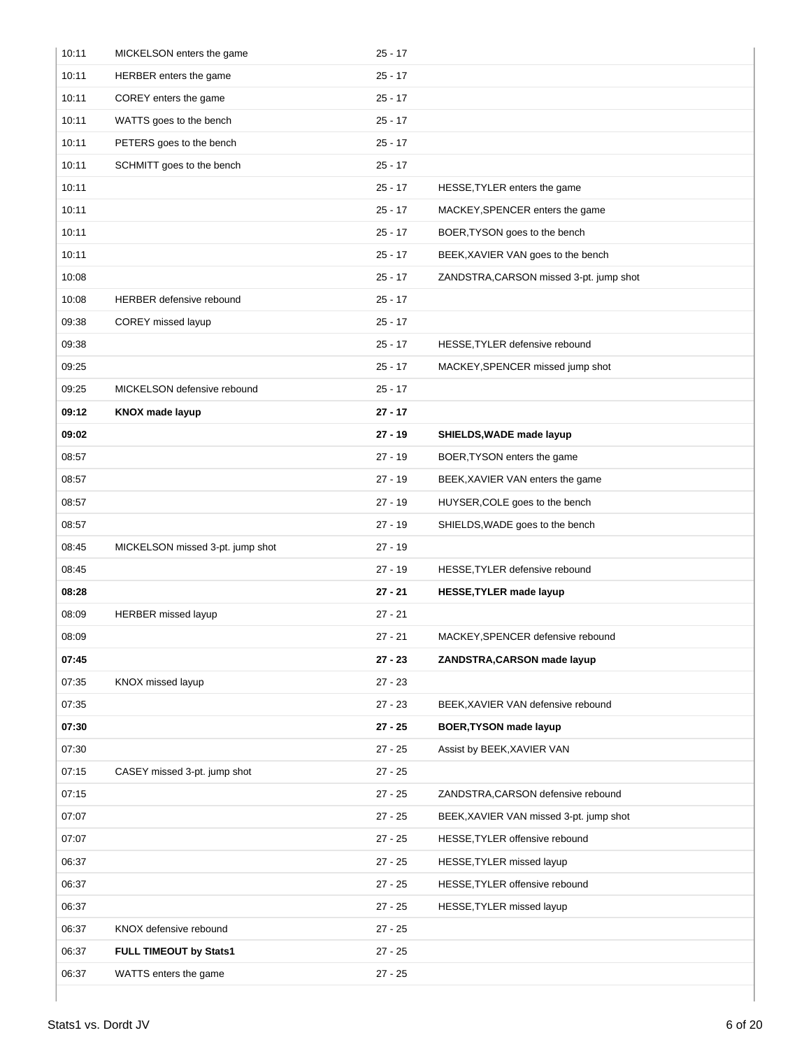| 10:11 | MICKELSON enters the game        | $25 - 17$ |                                         |
|-------|----------------------------------|-----------|-----------------------------------------|
| 10:11 | HERBER enters the game           | $25 - 17$ |                                         |
| 10:11 | COREY enters the game            | $25 - 17$ |                                         |
| 10:11 | WATTS goes to the bench          | $25 - 17$ |                                         |
| 10:11 | PETERS goes to the bench         | $25 - 17$ |                                         |
| 10:11 | SCHMITT goes to the bench        | $25 - 17$ |                                         |
| 10:11 |                                  | $25 - 17$ | HESSE, TYLER enters the game            |
| 10:11 |                                  | $25 - 17$ | MACKEY, SPENCER enters the game         |
| 10:11 |                                  | $25 - 17$ | BOER, TYSON goes to the bench           |
| 10:11 |                                  | $25 - 17$ | BEEK, XAVIER VAN goes to the bench      |
| 10:08 |                                  | $25 - 17$ | ZANDSTRA, CARSON missed 3-pt. jump shot |
| 10:08 | <b>HERBER defensive rebound</b>  | $25 - 17$ |                                         |
| 09:38 | COREY missed layup               | $25 - 17$ |                                         |
| 09:38 |                                  | $25 - 17$ | HESSE, TYLER defensive rebound          |
| 09:25 |                                  | $25 - 17$ | MACKEY, SPENCER missed jump shot        |
| 09:25 | MICKELSON defensive rebound      | $25 - 17$ |                                         |
| 09:12 | <b>KNOX made layup</b>           | $27 - 17$ |                                         |
| 09:02 |                                  | $27 - 19$ | SHIELDS, WADE made layup                |
| 08:57 |                                  | $27 - 19$ | BOER, TYSON enters the game             |
| 08:57 |                                  | $27 - 19$ | BEEK, XAVIER VAN enters the game        |
| 08:57 |                                  | $27 - 19$ | HUYSER, COLE goes to the bench          |
| 08:57 |                                  | $27 - 19$ | SHIELDS, WADE goes to the bench         |
| 08:45 | MICKELSON missed 3-pt. jump shot | $27 - 19$ |                                         |
| 08:45 |                                  | $27 - 19$ | HESSE, TYLER defensive rebound          |
| 08:28 |                                  | $27 - 21$ | HESSE, TYLER made layup                 |
| 08:09 | HERBER missed layup              | $27 - 21$ |                                         |
| 08:09 |                                  | $27 - 21$ | MACKEY, SPENCER defensive rebound       |
| 07:45 |                                  | $27 - 23$ | ZANDSTRA, CARSON made layup             |
| 07:35 | KNOX missed layup                | $27 - 23$ |                                         |
| 07:35 |                                  | $27 - 23$ | BEEK, XAVIER VAN defensive rebound      |
| 07:30 |                                  | $27 - 25$ | <b>BOER, TYSON made layup</b>           |
| 07:30 |                                  | $27 - 25$ | Assist by BEEK, XAVIER VAN              |
| 07:15 | CASEY missed 3-pt. jump shot     | $27 - 25$ |                                         |
| 07:15 |                                  | $27 - 25$ | ZANDSTRA, CARSON defensive rebound      |
| 07:07 |                                  | $27 - 25$ | BEEK, XAVIER VAN missed 3-pt. jump shot |
| 07:07 |                                  | $27 - 25$ | HESSE, TYLER offensive rebound          |
| 06:37 |                                  | $27 - 25$ | HESSE, TYLER missed layup               |
| 06:37 |                                  | $27 - 25$ | HESSE, TYLER offensive rebound          |
| 06:37 |                                  | $27 - 25$ | HESSE, TYLER missed layup               |
| 06:37 | KNOX defensive rebound           | $27 - 25$ |                                         |
| 06:37 | FULL TIMEOUT by Stats1           | $27 - 25$ |                                         |
| 06:37 |                                  |           |                                         |
|       | WATTS enters the game            | $27 - 25$ |                                         |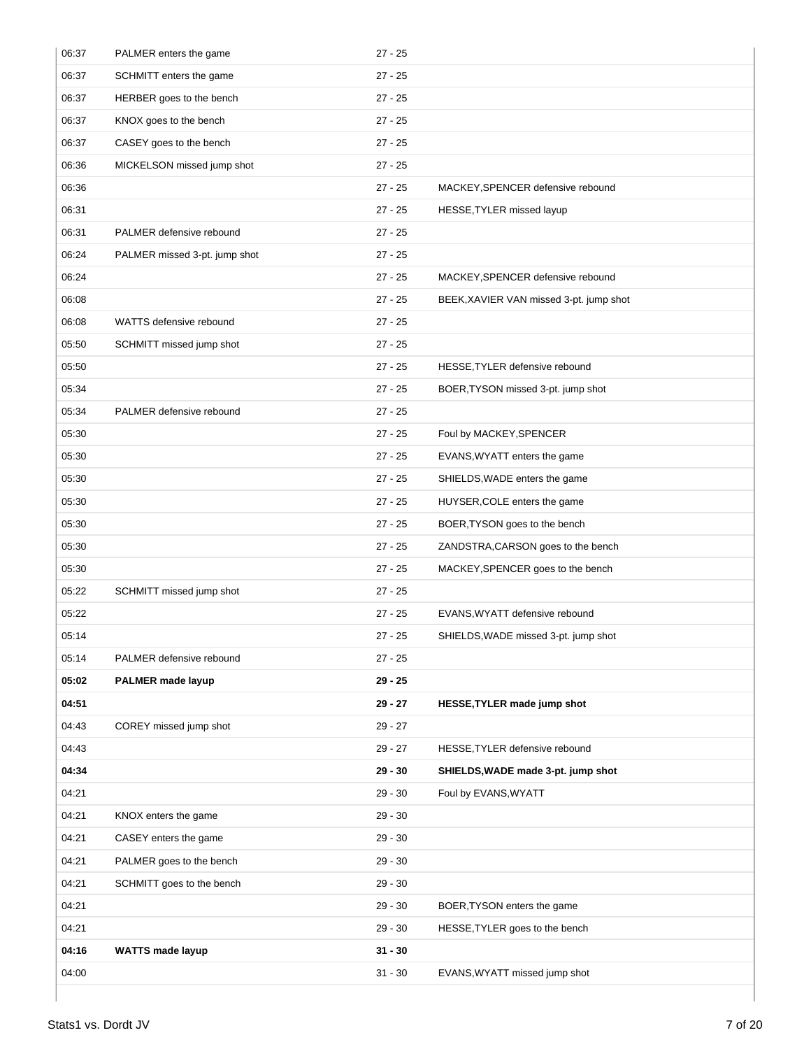| 06:37 | PALMER enters the game        | $27 - 25$ |                                         |
|-------|-------------------------------|-----------|-----------------------------------------|
| 06:37 | SCHMITT enters the game       | $27 - 25$ |                                         |
| 06:37 | HERBER goes to the bench      | $27 - 25$ |                                         |
| 06:37 | KNOX goes to the bench        | $27 - 25$ |                                         |
| 06:37 | CASEY goes to the bench       | $27 - 25$ |                                         |
| 06:36 | MICKELSON missed jump shot    | $27 - 25$ |                                         |
| 06:36 |                               | $27 - 25$ | MACKEY, SPENCER defensive rebound       |
| 06:31 |                               | $27 - 25$ | HESSE, TYLER missed layup               |
| 06:31 | PALMER defensive rebound      | $27 - 25$ |                                         |
| 06:24 | PALMER missed 3-pt. jump shot | $27 - 25$ |                                         |
| 06:24 |                               | $27 - 25$ | MACKEY, SPENCER defensive rebound       |
| 06:08 |                               | $27 - 25$ | BEEK, XAVIER VAN missed 3-pt. jump shot |
| 06:08 | WATTS defensive rebound       | $27 - 25$ |                                         |
| 05:50 | SCHMITT missed jump shot      | $27 - 25$ |                                         |
| 05:50 |                               | $27 - 25$ | HESSE, TYLER defensive rebound          |
| 05:34 |                               | $27 - 25$ | BOER, TYSON missed 3-pt. jump shot      |
| 05:34 | PALMER defensive rebound      | $27 - 25$ |                                         |
| 05:30 |                               | $27 - 25$ | Foul by MACKEY, SPENCER                 |
| 05:30 |                               | $27 - 25$ | EVANS, WYATT enters the game            |
| 05:30 |                               | $27 - 25$ | SHIELDS, WADE enters the game           |
| 05:30 |                               | $27 - 25$ | HUYSER, COLE enters the game            |
| 05:30 |                               | $27 - 25$ | BOER, TYSON goes to the bench           |
| 05:30 |                               | $27 - 25$ | ZANDSTRA, CARSON goes to the bench      |
| 05:30 |                               | $27 - 25$ | MACKEY, SPENCER goes to the bench       |
| 05:22 | SCHMITT missed jump shot      | $27 - 25$ |                                         |
| 05:22 |                               | $27 - 25$ | EVANS, WYATT defensive rebound          |
| 05:14 |                               | 27 - 25   | SHIELDS, WADE missed 3-pt. jump shot    |
| 05:14 | PALMER defensive rebound      | $27 - 25$ |                                         |
| 05:02 | PALMER made layup             | $29 - 25$ |                                         |
| 04:51 |                               | $29 - 27$ | HESSE, TYLER made jump shot             |
| 04:43 | COREY missed jump shot        | $29 - 27$ |                                         |
| 04:43 |                               | $29 - 27$ | HESSE, TYLER defensive rebound          |
| 04:34 |                               | $29 - 30$ | SHIELDS, WADE made 3-pt. jump shot      |
| 04:21 |                               | $29 - 30$ | Foul by EVANS, WYATT                    |
| 04:21 | KNOX enters the game          | $29 - 30$ |                                         |
| 04:21 | CASEY enters the game         | $29 - 30$ |                                         |
| 04:21 | PALMER goes to the bench      | $29 - 30$ |                                         |
| 04:21 | SCHMITT goes to the bench     | $29 - 30$ |                                         |
| 04:21 |                               | $29 - 30$ | BOER, TYSON enters the game             |
| 04:21 |                               | $29 - 30$ | HESSE, TYLER goes to the bench          |
| 04:16 | <b>WATTS made layup</b>       | $31 - 30$ |                                         |
| 04:00 |                               | $31 - 30$ | EVANS, WYATT missed jump shot           |
|       |                               |           |                                         |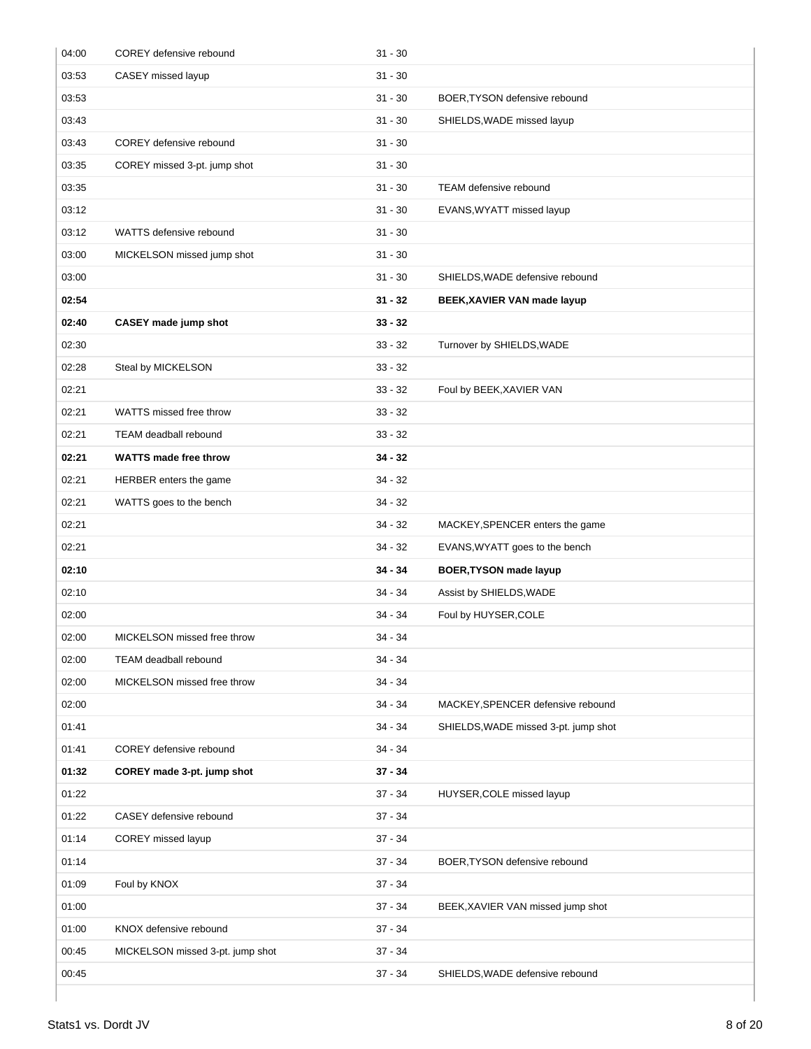| 04:00 | COREY defensive rebound          | $31 - 30$ |                                      |
|-------|----------------------------------|-----------|--------------------------------------|
| 03:53 | CASEY missed layup               | $31 - 30$ |                                      |
| 03:53 |                                  | $31 - 30$ | BOER, TYSON defensive rebound        |
| 03:43 |                                  | $31 - 30$ | SHIELDS, WADE missed layup           |
| 03:43 | COREY defensive rebound          | $31 - 30$ |                                      |
| 03:35 | COREY missed 3-pt. jump shot     | $31 - 30$ |                                      |
| 03:35 |                                  | $31 - 30$ | <b>TEAM defensive rebound</b>        |
| 03:12 |                                  | $31 - 30$ | EVANS, WYATT missed layup            |
| 03:12 | WATTS defensive rebound          | $31 - 30$ |                                      |
| 03:00 | MICKELSON missed jump shot       | $31 - 30$ |                                      |
| 03:00 |                                  | $31 - 30$ | SHIELDS, WADE defensive rebound      |
| 02:54 |                                  | $31 - 32$ | BEEK, XAVIER VAN made layup          |
| 02:40 | <b>CASEY</b> made jump shot      | $33 - 32$ |                                      |
| 02:30 |                                  | $33 - 32$ | Turnover by SHIELDS, WADE            |
| 02:28 | Steal by MICKELSON               | $33 - 32$ |                                      |
| 02:21 |                                  | $33 - 32$ | Foul by BEEK, XAVIER VAN             |
| 02:21 | WATTS missed free throw          | $33 - 32$ |                                      |
| 02:21 | <b>TEAM deadball rebound</b>     | $33 - 32$ |                                      |
| 02:21 | <b>WATTS made free throw</b>     | $34 - 32$ |                                      |
| 02:21 | HERBER enters the game           | $34 - 32$ |                                      |
| 02:21 | WATTS goes to the bench          | $34 - 32$ |                                      |
| 02:21 |                                  | $34 - 32$ | MACKEY, SPENCER enters the game      |
| 02:21 |                                  | $34 - 32$ | EVANS, WYATT goes to the bench       |
| 02:10 |                                  | $34 - 34$ | <b>BOER, TYSON made layup</b>        |
| 02:10 |                                  | $34 - 34$ | Assist by SHIELDS, WADE              |
| 02:00 |                                  | $34 - 34$ | Foul by HUYSER, COLE                 |
| 02:00 | MICKELSON missed free throw      | 34 - 34   |                                      |
| 02:00 | TEAM deadball rebound            | $34 - 34$ |                                      |
| 02:00 | MICKELSON missed free throw      | $34 - 34$ |                                      |
| 02:00 |                                  | $34 - 34$ | MACKEY, SPENCER defensive rebound    |
| 01:41 |                                  | $34 - 34$ | SHIELDS, WADE missed 3-pt. jump shot |
| 01:41 | COREY defensive rebound          | $34 - 34$ |                                      |
| 01:32 | COREY made 3-pt. jump shot       | $37 - 34$ |                                      |
| 01:22 |                                  | $37 - 34$ | HUYSER, COLE missed layup            |
| 01:22 | CASEY defensive rebound          | $37 - 34$ |                                      |
| 01:14 | COREY missed layup               | $37 - 34$ |                                      |
| 01:14 |                                  | $37 - 34$ | BOER, TYSON defensive rebound        |
| 01:09 | Foul by KNOX                     | $37 - 34$ |                                      |
| 01:00 |                                  | $37 - 34$ | BEEK, XAVIER VAN missed jump shot    |
| 01:00 | KNOX defensive rebound           | $37 - 34$ |                                      |
| 00:45 | MICKELSON missed 3-pt. jump shot | $37 - 34$ |                                      |
| 00:45 |                                  | $37 - 34$ | SHIELDS, WADE defensive rebound      |
|       |                                  |           |                                      |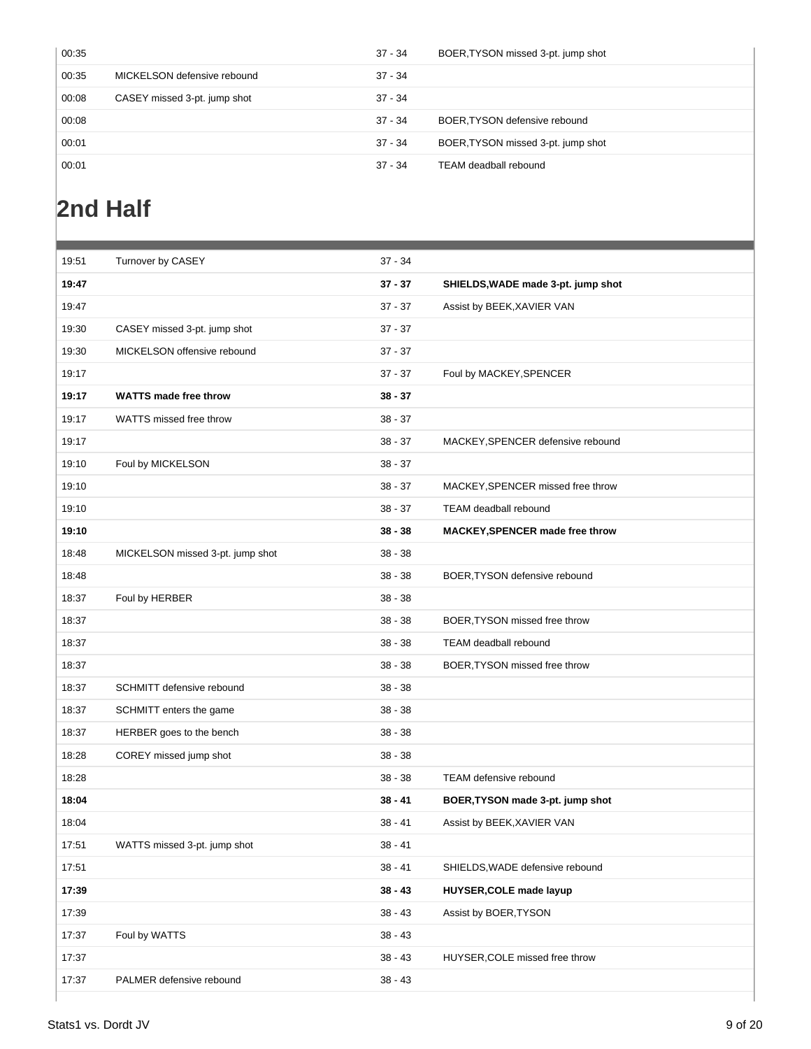| 00:35 |                              | $37 - 34$ | BOER, TYSON missed 3-pt. jump shot |
|-------|------------------------------|-----------|------------------------------------|
| 00:35 | MICKELSON defensive rebound  | $37 - 34$ |                                    |
| 00:08 | CASEY missed 3-pt. jump shot | $37 - 34$ |                                    |
| 00:08 |                              | $37 - 34$ | BOER, TYSON defensive rebound      |
| 00:01 |                              | $37 - 34$ | BOER, TYSON missed 3-pt. jump shot |
| 00:01 |                              | $37 - 34$ | TEAM deadball rebound              |
|       |                              |           |                                    |

# **2nd Half**

| 19:51 | Turnover by CASEY                | $37 - 34$ |                                        |
|-------|----------------------------------|-----------|----------------------------------------|
| 19:47 |                                  | $37 - 37$ | SHIELDS, WADE made 3-pt. jump shot     |
| 19:47 |                                  | $37 - 37$ | Assist by BEEK, XAVIER VAN             |
| 19:30 | CASEY missed 3-pt. jump shot     | $37 - 37$ |                                        |
| 19:30 | MICKELSON offensive rebound      | $37 - 37$ |                                        |
| 19:17 |                                  | $37 - 37$ | Foul by MACKEY, SPENCER                |
| 19:17 | <b>WATTS made free throw</b>     | $38 - 37$ |                                        |
| 19:17 | WATTS missed free throw          | $38 - 37$ |                                        |
| 19:17 |                                  | $38 - 37$ | MACKEY, SPENCER defensive rebound      |
| 19:10 | Foul by MICKELSON                | $38 - 37$ |                                        |
| 19:10 |                                  | $38 - 37$ | MACKEY, SPENCER missed free throw      |
| 19:10 |                                  | $38 - 37$ | TEAM deadball rebound                  |
| 19:10 |                                  | $38 - 38$ | <b>MACKEY, SPENCER made free throw</b> |
| 18:48 | MICKELSON missed 3-pt. jump shot | $38 - 38$ |                                        |
| 18:48 |                                  | $38 - 38$ | BOER, TYSON defensive rebound          |
| 18:37 | Foul by HERBER                   | $38 - 38$ |                                        |
| 18:37 |                                  | $38 - 38$ | BOER, TYSON missed free throw          |
| 18:37 |                                  | $38 - 38$ | TEAM deadball rebound                  |
| 18:37 |                                  | $38 - 38$ | BOER, TYSON missed free throw          |
| 18:37 | SCHMITT defensive rebound        | $38 - 38$ |                                        |
| 18:37 | SCHMITT enters the game          | $38 - 38$ |                                        |
| 18:37 | HERBER goes to the bench         | $38 - 38$ |                                        |
| 18:28 | COREY missed jump shot           | $38 - 38$ |                                        |
| 18:28 |                                  | $38 - 38$ | TEAM defensive rebound                 |
| 18:04 |                                  | $38 - 41$ | BOER, TYSON made 3-pt. jump shot       |
| 18:04 |                                  | $38 - 41$ | Assist by BEEK, XAVIER VAN             |
| 17:51 | WATTS missed 3-pt. jump shot     | 38 - 41   |                                        |
| 17:51 |                                  | $38 - 41$ | SHIELDS, WADE defensive rebound        |
| 17:39 |                                  | $38 - 43$ | <b>HUYSER, COLE made layup</b>         |
| 17:39 |                                  | $38 - 43$ | Assist by BOER, TYSON                  |
| 17:37 | Foul by WATTS                    | $38 - 43$ |                                        |
| 17:37 |                                  | $38 - 43$ | HUYSER, COLE missed free throw         |
| 17:37 | PALMER defensive rebound         | $38 - 43$ |                                        |
|       |                                  |           |                                        |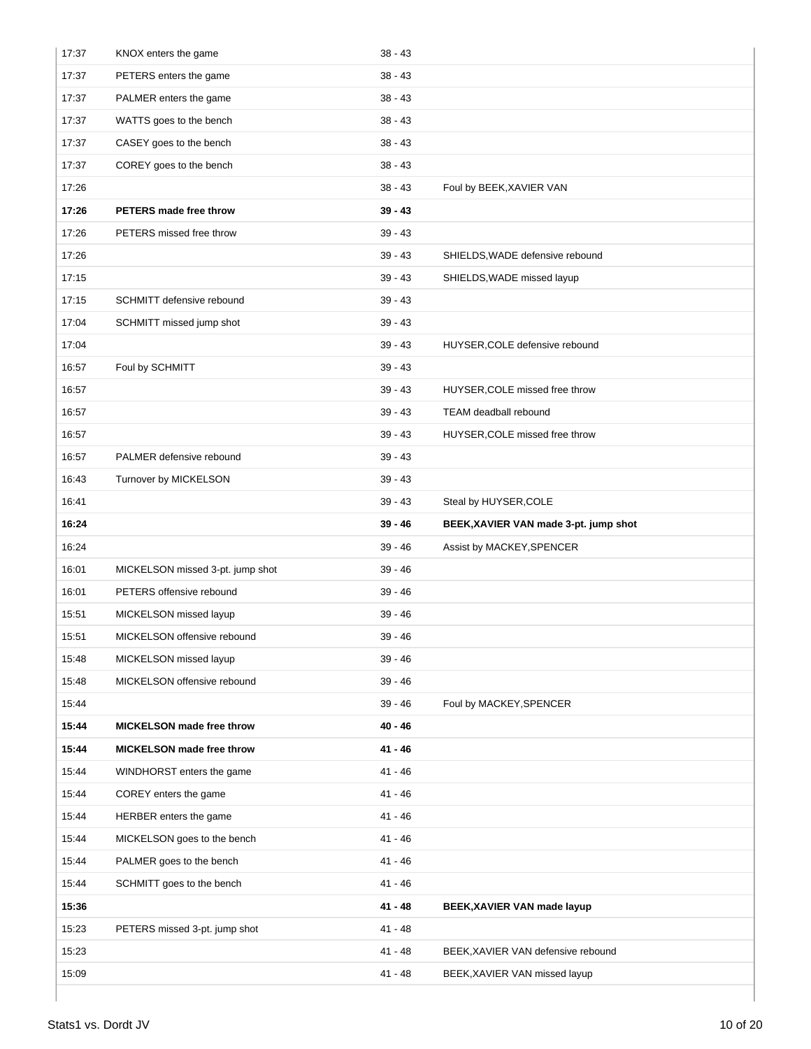| 17:37 | KNOX enters the game             | $38 - 43$ |                                       |
|-------|----------------------------------|-----------|---------------------------------------|
| 17:37 | PETERS enters the game           | $38 - 43$ |                                       |
| 17:37 | PALMER enters the game           | $38 - 43$ |                                       |
| 17:37 | WATTS goes to the bench          | $38 - 43$ |                                       |
| 17:37 | CASEY goes to the bench          | $38 - 43$ |                                       |
| 17:37 | COREY goes to the bench          | $38 - 43$ |                                       |
| 17:26 |                                  | $38 - 43$ | Foul by BEEK, XAVIER VAN              |
| 17:26 | PETERS made free throw           | $39 - 43$ |                                       |
| 17:26 | PETERS missed free throw         | $39 - 43$ |                                       |
| 17:26 |                                  | $39 - 43$ | SHIELDS, WADE defensive rebound       |
| 17:15 |                                  | $39 - 43$ | SHIELDS, WADE missed layup            |
| 17:15 | SCHMITT defensive rebound        | $39 - 43$ |                                       |
| 17:04 | SCHMITT missed jump shot         | $39 - 43$ |                                       |
| 17:04 |                                  | $39 - 43$ | HUYSER, COLE defensive rebound        |
| 16:57 | Foul by SCHMITT                  | $39 - 43$ |                                       |
| 16:57 |                                  | $39 - 43$ | HUYSER, COLE missed free throw        |
| 16:57 |                                  | $39 - 43$ | TEAM deadball rebound                 |
| 16:57 |                                  | 39 - 43   | HUYSER, COLE missed free throw        |
| 16:57 | PALMER defensive rebound         | $39 - 43$ |                                       |
| 16:43 | Turnover by MICKELSON            | $39 - 43$ |                                       |
| 16:41 |                                  | $39 - 43$ | Steal by HUYSER, COLE                 |
| 16:24 |                                  | 39 - 46   | BEEK, XAVIER VAN made 3-pt. jump shot |
| 16:24 |                                  | $39 - 46$ | Assist by MACKEY, SPENCER             |
| 16:01 | MICKELSON missed 3-pt. jump shot | $39 - 46$ |                                       |
| 16:01 | PETERS offensive rebound         | 39 - 46   |                                       |
| 15:51 | MICKELSON missed layup           | 39 - 46   |                                       |
| 15:51 | MICKELSON offensive rebound      | $39 - 46$ |                                       |
| 15:48 | MICKELSON missed layup           | $39 - 46$ |                                       |
| 15:48 | MICKELSON offensive rebound      | $39 - 46$ |                                       |
| 15:44 |                                  | $39 - 46$ | Foul by MACKEY, SPENCER               |
| 15:44 | MICKELSON made free throw        | $40 - 46$ |                                       |
| 15:44 | MICKELSON made free throw        | 41 - 46   |                                       |
| 15:44 | WINDHORST enters the game        | 41 - 46   |                                       |
| 15:44 | COREY enters the game            | 41 - 46   |                                       |
| 15:44 | HERBER enters the game           | 41 - 46   |                                       |
| 15:44 | MICKELSON goes to the bench      | 41 - 46   |                                       |
| 15:44 | PALMER goes to the bench         | 41 - 46   |                                       |
| 15:44 | SCHMITT goes to the bench        | 41 - 46   |                                       |
| 15:36 |                                  | 41 - 48   | BEEK, XAVIER VAN made layup           |
| 15:23 | PETERS missed 3-pt. jump shot    | 41 - 48   |                                       |
| 15:23 |                                  | 41 - 48   | BEEK, XAVIER VAN defensive rebound    |
| 15:09 |                                  |           |                                       |
|       |                                  | 41 - 48   | BEEK, XAVIER VAN missed layup         |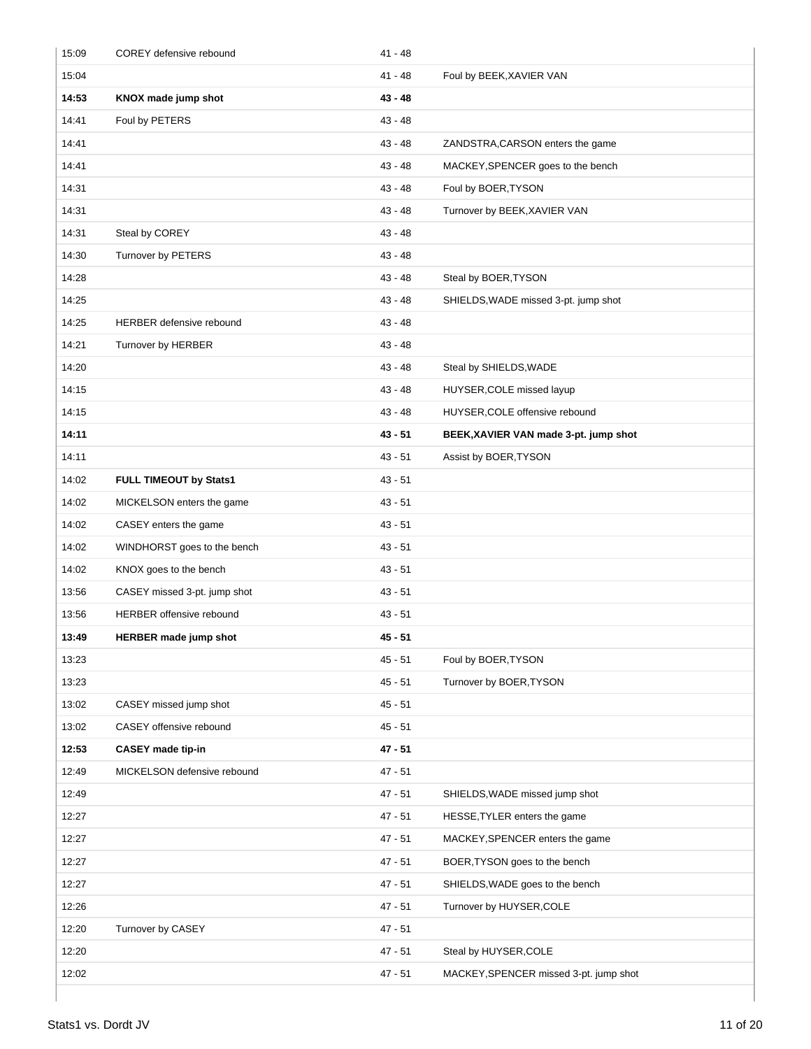| 15:09 | COREY defensive rebound         | $41 - 48$ |                                        |
|-------|---------------------------------|-----------|----------------------------------------|
| 15:04 |                                 | $41 - 48$ | Foul by BEEK, XAVIER VAN               |
| 14:53 | KNOX made jump shot             | 43 - 48   |                                        |
| 14:41 | Foul by PETERS                  | $43 - 48$ |                                        |
| 14:41 |                                 | $43 - 48$ | ZANDSTRA, CARSON enters the game       |
| 14:41 |                                 | $43 - 48$ | MACKEY, SPENCER goes to the bench      |
| 14:31 |                                 | $43 - 48$ | Foul by BOER, TYSON                    |
| 14:31 |                                 | 43 - 48   | Turnover by BEEK, XAVIER VAN           |
| 14:31 | Steal by COREY                  | 43 - 48   |                                        |
| 14:30 | Turnover by PETERS              | 43 - 48   |                                        |
| 14:28 |                                 | 43 - 48   | Steal by BOER, TYSON                   |
| 14:25 |                                 | $43 - 48$ | SHIELDS, WADE missed 3-pt. jump shot   |
| 14:25 | <b>HERBER defensive rebound</b> | 43 - 48   |                                        |
| 14:21 | Turnover by HERBER              | $43 - 48$ |                                        |
| 14:20 |                                 | 43 - 48   | Steal by SHIELDS, WADE                 |
| 14:15 |                                 | $43 - 48$ | HUYSER, COLE missed layup              |
| 14:15 |                                 | $43 - 48$ | HUYSER, COLE offensive rebound         |
| 14:11 |                                 | 43 - 51   | BEEK, XAVIER VAN made 3-pt. jump shot  |
| 14:11 |                                 | $43 - 51$ | Assist by BOER, TYSON                  |
| 14:02 | FULL TIMEOUT by Stats1          | $43 - 51$ |                                        |
| 14:02 | MICKELSON enters the game       | $43 - 51$ |                                        |
| 14:02 | CASEY enters the game           | $43 - 51$ |                                        |
| 14:02 | WINDHORST goes to the bench     | $43 - 51$ |                                        |
| 14:02 | KNOX goes to the bench          | $43 - 51$ |                                        |
| 13:56 | CASEY missed 3-pt. jump shot    | $43 - 51$ |                                        |
| 13:56 | HERBER offensive rebound        | $43 - 51$ |                                        |
| 13:49 | <b>HERBER made jump shot</b>    | $45 - 51$ |                                        |
| 13:23 |                                 | $45 - 51$ | Foul by BOER, TYSON                    |
| 13:23 |                                 | $45 - 51$ | Turnover by BOER, TYSON                |
| 13:02 | CASEY missed jump shot          | $45 - 51$ |                                        |
| 13:02 | CASEY offensive rebound         | $45 - 51$ |                                        |
| 12:53 | <b>CASEY</b> made tip-in        | $47 - 51$ |                                        |
| 12:49 | MICKELSON defensive rebound     | $47 - 51$ |                                        |
| 12:49 |                                 | $47 - 51$ | SHIELDS, WADE missed jump shot         |
| 12:27 |                                 | $47 - 51$ | HESSE, TYLER enters the game           |
| 12:27 |                                 | 47 - 51   | MACKEY, SPENCER enters the game        |
| 12:27 |                                 | 47 - 51   | BOER, TYSON goes to the bench          |
| 12:27 |                                 | $47 - 51$ | SHIELDS, WADE goes to the bench        |
| 12:26 |                                 | $47 - 51$ | Turnover by HUYSER, COLE               |
| 12:20 | Turnover by CASEY               | $47 - 51$ |                                        |
| 12:20 |                                 | 47 - 51   | Steal by HUYSER, COLE                  |
| 12:02 |                                 | 47 - 51   | MACKEY, SPENCER missed 3-pt. jump shot |
|       |                                 |           |                                        |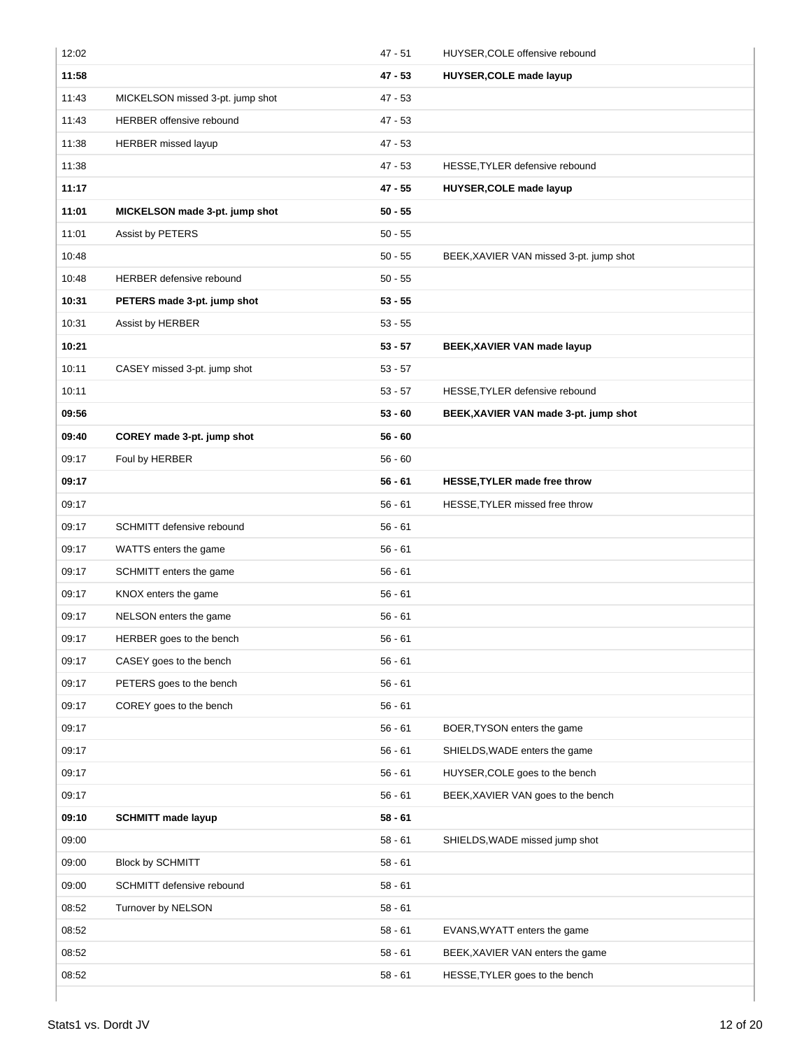| 12:02 |                                  | $47 - 51$ | HUYSER, COLE offensive rebound          |
|-------|----------------------------------|-----------|-----------------------------------------|
| 11:58 |                                  | 47 - 53   | HUYSER, COLE made layup                 |
| 11:43 | MICKELSON missed 3-pt. jump shot | 47 - 53   |                                         |
| 11:43 | <b>HERBER</b> offensive rebound  | 47 - 53   |                                         |
| 11:38 | HERBER missed layup              | $47 - 53$ |                                         |
| 11:38 |                                  | 47 - 53   | HESSE, TYLER defensive rebound          |
| 11:17 |                                  | 47 - 55   | HUYSER, COLE made layup                 |
| 11:01 | MICKELSON made 3-pt. jump shot   | $50 - 55$ |                                         |
| 11:01 | Assist by PETERS                 | $50 - 55$ |                                         |
| 10:48 |                                  | $50 - 55$ | BEEK, XAVIER VAN missed 3-pt. jump shot |
| 10:48 | <b>HERBER defensive rebound</b>  | $50 - 55$ |                                         |
| 10:31 | PETERS made 3-pt. jump shot      | $53 - 55$ |                                         |
| 10:31 | Assist by HERBER                 | $53 - 55$ |                                         |
| 10:21 |                                  | $53 - 57$ | BEEK, XAVIER VAN made layup             |
| 10:11 | CASEY missed 3-pt. jump shot     | $53 - 57$ |                                         |
| 10:11 |                                  | $53 - 57$ | HESSE, TYLER defensive rebound          |
| 09:56 |                                  | $53 - 60$ | BEEK, XAVIER VAN made 3-pt. jump shot   |
| 09:40 | COREY made 3-pt. jump shot       | $56 - 60$ |                                         |
| 09:17 | Foul by HERBER                   | $56 - 60$ |                                         |
| 09:17 |                                  | $56 - 61$ | HESSE, TYLER made free throw            |
| 09:17 |                                  | $56 - 61$ | HESSE, TYLER missed free throw          |
| 09:17 | SCHMITT defensive rebound        | $56 - 61$ |                                         |
| 09:17 | WATTS enters the game            | $56 - 61$ |                                         |
| 09:17 | SCHMITT enters the game          | $56 - 61$ |                                         |
| 09:17 | KNOX enters the game             | $56 - 61$ |                                         |
| 09:17 | NELSON enters the game           | $56 - 61$ |                                         |
| 09:17 | HERBER goes to the bench         | $56 - 61$ |                                         |
| 09:17 | CASEY goes to the bench          | $56 - 61$ |                                         |
| 09:17 | PETERS goes to the bench         | $56 - 61$ |                                         |
| 09:17 | COREY goes to the bench          | $56 - 61$ |                                         |
| 09:17 |                                  | $56 - 61$ | BOER, TYSON enters the game             |
| 09:17 |                                  | $56 - 61$ | SHIELDS, WADE enters the game           |
| 09:17 |                                  | $56 - 61$ | HUYSER, COLE goes to the bench          |
| 09:17 |                                  | $56 - 61$ | BEEK, XAVIER VAN goes to the bench      |
| 09:10 | <b>SCHMITT made layup</b>        | 58 - 61   |                                         |
| 09:00 |                                  | $58 - 61$ | SHIELDS, WADE missed jump shot          |
| 09:00 | <b>Block by SCHMITT</b>          | $58 - 61$ |                                         |
| 09:00 | SCHMITT defensive rebound        | $58 - 61$ |                                         |
| 08:52 | Turnover by NELSON               | $58 - 61$ |                                         |
| 08:52 |                                  | $58 - 61$ | EVANS, WYATT enters the game            |
| 08:52 |                                  | $58 - 61$ | BEEK, XAVIER VAN enters the game        |
| 08:52 |                                  | $58 - 61$ | HESSE, TYLER goes to the bench          |
|       |                                  |           |                                         |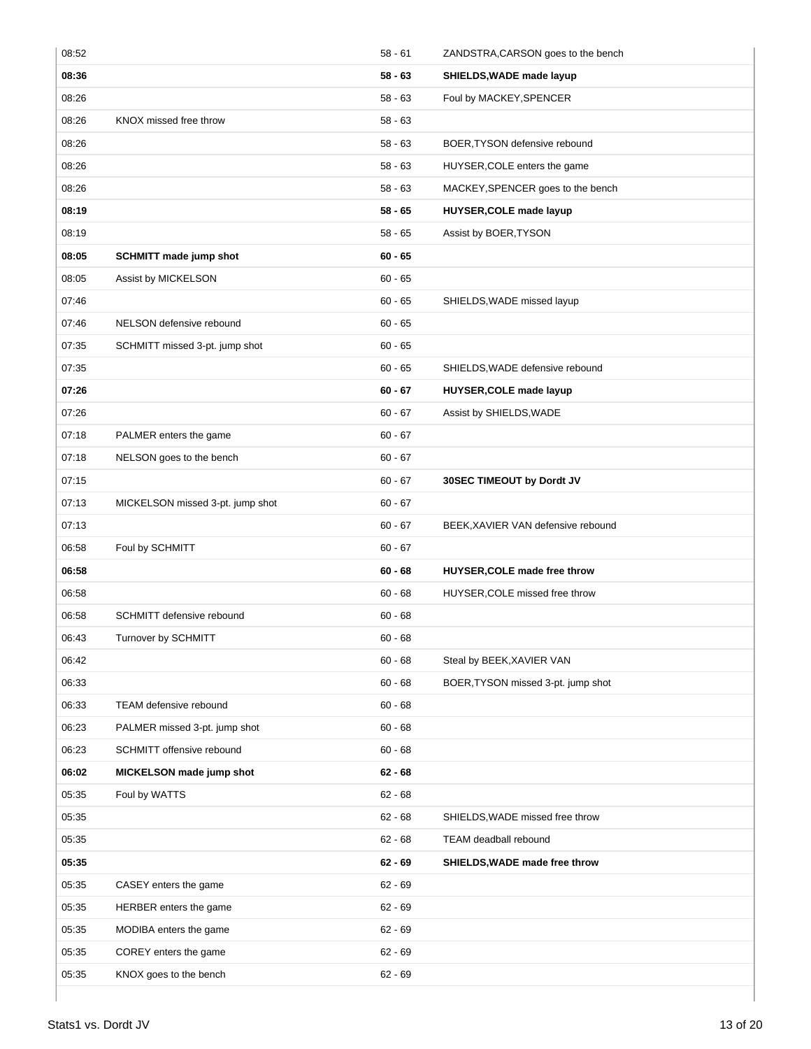| 08:52 |                                  | $58 - 61$ | ZANDSTRA, CARSON goes to the bench |
|-------|----------------------------------|-----------|------------------------------------|
| 08:36 |                                  | $58 - 63$ | SHIELDS, WADE made layup           |
| 08:26 |                                  | $58 - 63$ | Foul by MACKEY, SPENCER            |
| 08:26 | KNOX missed free throw           | $58 - 63$ |                                    |
| 08:26 |                                  | $58 - 63$ | BOER, TYSON defensive rebound      |
| 08:26 |                                  | $58 - 63$ | HUYSER, COLE enters the game       |
| 08:26 |                                  | $58 - 63$ | MACKEY, SPENCER goes to the bench  |
| 08:19 |                                  | $58 - 65$ | HUYSER, COLE made layup            |
| 08:19 |                                  | $58 - 65$ | Assist by BOER, TYSON              |
| 08:05 | <b>SCHMITT made jump shot</b>    | $60 - 65$ |                                    |
| 08:05 | Assist by MICKELSON              | $60 - 65$ |                                    |
| 07:46 |                                  | $60 - 65$ | SHIELDS, WADE missed layup         |
| 07:46 | NELSON defensive rebound         | $60 - 65$ |                                    |
| 07:35 | SCHMITT missed 3-pt. jump shot   | $60 - 65$ |                                    |
| 07:35 |                                  | $60 - 65$ | SHIELDS, WADE defensive rebound    |
| 07:26 |                                  | $60 - 67$ | HUYSER, COLE made layup            |
| 07:26 |                                  | $60 - 67$ | Assist by SHIELDS, WADE            |
| 07:18 | PALMER enters the game           | $60 - 67$ |                                    |
| 07:18 | NELSON goes to the bench         | $60 - 67$ |                                    |
| 07:15 |                                  | $60 - 67$ | 30SEC TIMEOUT by Dordt JV          |
| 07:13 | MICKELSON missed 3-pt. jump shot | $60 - 67$ |                                    |
| 07:13 |                                  | $60 - 67$ | BEEK, XAVIER VAN defensive rebound |
| 06:58 | Foul by SCHMITT                  | $60 - 67$ |                                    |
| 06:58 |                                  | $60 - 68$ | HUYSER, COLE made free throw       |
| 06:58 |                                  | $60 - 68$ | HUYSER, COLE missed free throw     |
| 06:58 | SCHMITT defensive rebound        | $60 - 68$ |                                    |
| 06:43 | Turnover by SCHMITT              | $60 - 68$ |                                    |
| 06:42 |                                  | $60 - 68$ | Steal by BEEK, XAVIER VAN          |
| 06:33 |                                  | $60 - 68$ | BOER, TYSON missed 3-pt. jump shot |
| 06:33 | TEAM defensive rebound           | $60 - 68$ |                                    |
| 06:23 | PALMER missed 3-pt. jump shot    | $60 - 68$ |                                    |
| 06:23 | SCHMITT offensive rebound        | $60 - 68$ |                                    |
| 06:02 | MICKELSON made jump shot         | $62 - 68$ |                                    |
| 05:35 | Foul by WATTS                    | $62 - 68$ |                                    |
| 05:35 |                                  | $62 - 68$ | SHIELDS, WADE missed free throw    |
| 05:35 |                                  | $62 - 68$ | <b>TEAM</b> deadball rebound       |
| 05:35 |                                  | $62 - 69$ | SHIELDS, WADE made free throw      |
| 05:35 | CASEY enters the game            | $62 - 69$ |                                    |
| 05:35 | HERBER enters the game           | $62 - 69$ |                                    |
| 05:35 | MODIBA enters the game           | $62 - 69$ |                                    |
| 05:35 | COREY enters the game            | $62 - 69$ |                                    |
| 05:35 | KNOX goes to the bench           | $62 - 69$ |                                    |
|       |                                  |           |                                    |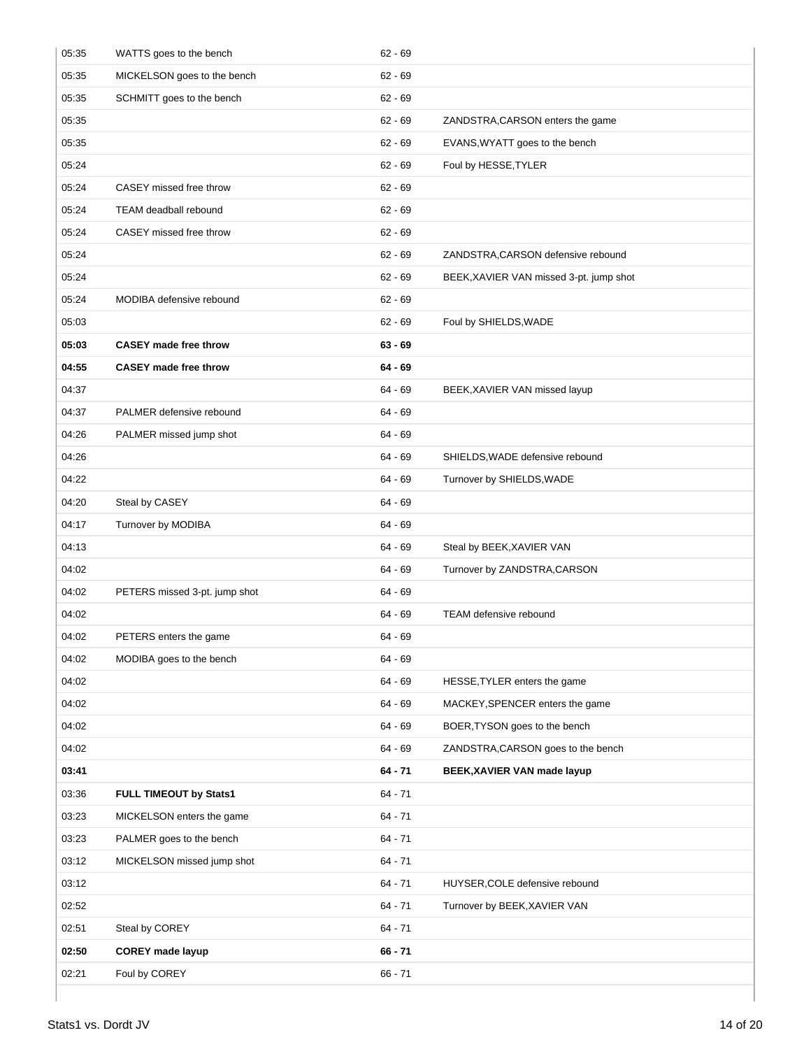| 05:35 | WATTS goes to the bench       | $62 - 69$ |                                         |
|-------|-------------------------------|-----------|-----------------------------------------|
| 05:35 | MICKELSON goes to the bench   | $62 - 69$ |                                         |
| 05:35 | SCHMITT goes to the bench     | $62 - 69$ |                                         |
| 05:35 |                               | $62 - 69$ | ZANDSTRA, CARSON enters the game        |
| 05:35 |                               | $62 - 69$ | EVANS, WYATT goes to the bench          |
| 05:24 |                               | $62 - 69$ | Foul by HESSE, TYLER                    |
| 05:24 | CASEY missed free throw       | $62 - 69$ |                                         |
| 05:24 | <b>TEAM</b> deadball rebound  | $62 - 69$ |                                         |
| 05:24 | CASEY missed free throw       | $62 - 69$ |                                         |
| 05:24 |                               | $62 - 69$ | ZANDSTRA, CARSON defensive rebound      |
| 05:24 |                               | $62 - 69$ | BEEK, XAVIER VAN missed 3-pt. jump shot |
| 05:24 | MODIBA defensive rebound      | $62 - 69$ |                                         |
| 05:03 |                               | $62 - 69$ | Foul by SHIELDS, WADE                   |
| 05:03 | <b>CASEY made free throw</b>  | $63 - 69$ |                                         |
| 04:55 | <b>CASEY made free throw</b>  | 64 - 69   |                                         |
| 04:37 |                               | 64 - 69   | BEEK, XAVIER VAN missed layup           |
| 04:37 | PALMER defensive rebound      | $64 - 69$ |                                         |
| 04:26 | PALMER missed jump shot       | $64 - 69$ |                                         |
| 04:26 |                               | $64 - 69$ | SHIELDS, WADE defensive rebound         |
| 04:22 |                               | $64 - 69$ | Turnover by SHIELDS, WADE               |
| 04:20 | Steal by CASEY                | 64 - 69   |                                         |
| 04:17 | Turnover by MODIBA            | 64 - 69   |                                         |
| 04:13 |                               | $64 - 69$ | Steal by BEEK, XAVIER VAN               |
| 04:02 |                               | $64 - 69$ | Turnover by ZANDSTRA, CARSON            |
| 04:02 | PETERS missed 3-pt. jump shot | $64 - 69$ |                                         |
| 04:02 |                               | $64 - 69$ | <b>TEAM defensive rebound</b>           |
| 04:02 | PETERS enters the game        | 64 - 69   |                                         |
| 04:02 | MODIBA goes to the bench      | $64 - 69$ |                                         |
| 04:02 |                               | $64 - 69$ | HESSE, TYLER enters the game            |
| 04:02 |                               | $64 - 69$ | MACKEY, SPENCER enters the game         |
| 04:02 |                               | $64 - 69$ | BOER, TYSON goes to the bench           |
| 04:02 |                               | $64 - 69$ | ZANDSTRA, CARSON goes to the bench      |
| 03:41 |                               | $64 - 71$ | BEEK, XAVIER VAN made layup             |
| 03:36 | FULL TIMEOUT by Stats1        | $64 - 71$ |                                         |
| 03:23 | MICKELSON enters the game     | $64 - 71$ |                                         |
| 03:23 | PALMER goes to the bench      | $64 - 71$ |                                         |
| 03:12 | MICKELSON missed jump shot    | $64 - 71$ |                                         |
| 03:12 |                               | $64 - 71$ | HUYSER, COLE defensive rebound          |
| 02:52 |                               | $64 - 71$ | Turnover by BEEK, XAVIER VAN            |
| 02:51 | Steal by COREY                | $64 - 71$ |                                         |
| 02:50 | <b>COREY made layup</b>       | $66 - 71$ |                                         |
| 02:21 | Foul by COREY                 | $66 - 71$ |                                         |
|       |                               |           |                                         |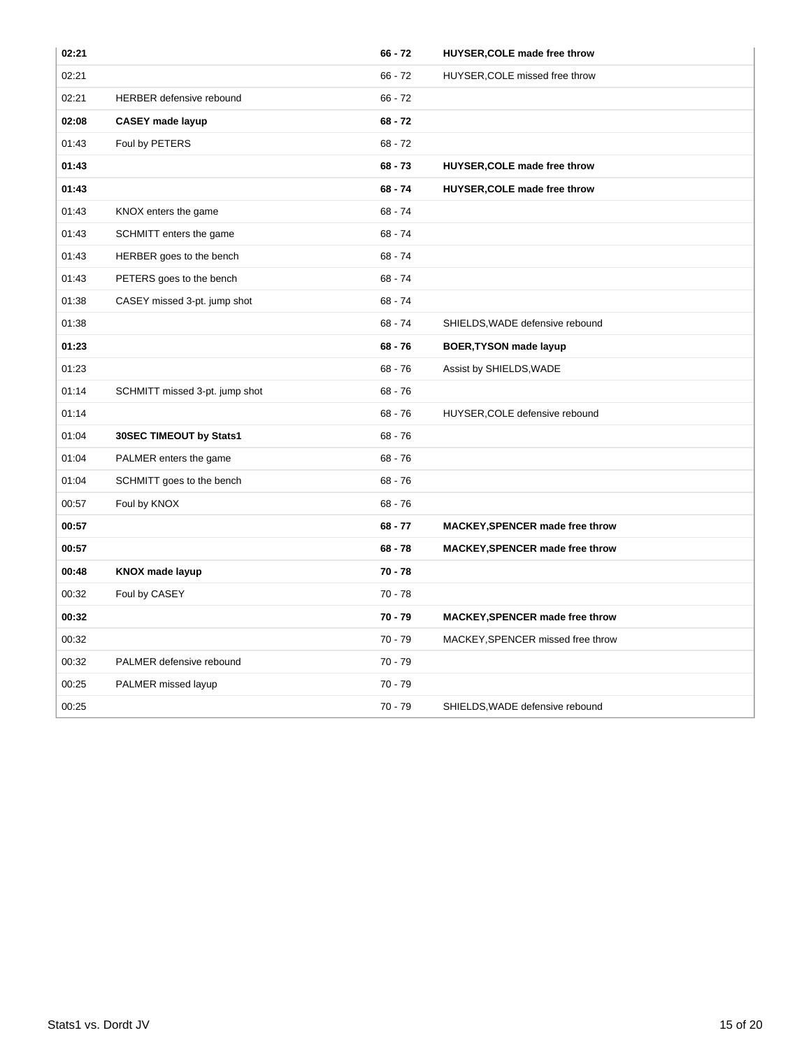| 02:21 |                                | $66 - 72$ | HUYSER, COLE made free throw           |
|-------|--------------------------------|-----------|----------------------------------------|
| 02:21 |                                | $66 - 72$ | HUYSER, COLE missed free throw         |
| 02:21 | HERBER defensive rebound       | $66 - 72$ |                                        |
| 02:08 | <b>CASEY made layup</b>        | $68 - 72$ |                                        |
| 01:43 | Foul by PETERS                 | $68 - 72$ |                                        |
| 01:43 |                                | $68 - 73$ | HUYSER, COLE made free throw           |
| 01:43 |                                | $68 - 74$ | HUYSER, COLE made free throw           |
| 01:43 | KNOX enters the game           | $68 - 74$ |                                        |
| 01:43 | SCHMITT enters the game        | $68 - 74$ |                                        |
| 01:43 | HERBER goes to the bench       | $68 - 74$ |                                        |
| 01:43 | PETERS goes to the bench       | $68 - 74$ |                                        |
| 01:38 | CASEY missed 3-pt. jump shot   | $68 - 74$ |                                        |
| 01:38 |                                | $68 - 74$ | SHIELDS, WADE defensive rebound        |
| 01:23 |                                | $68 - 76$ | <b>BOER, TYSON made layup</b>          |
| 01:23 |                                | $68 - 76$ | Assist by SHIELDS, WADE                |
| 01:14 | SCHMITT missed 3-pt. jump shot | $68 - 76$ |                                        |
| 01:14 |                                | $68 - 76$ | HUYSER, COLE defensive rebound         |
| 01:04 | 30SEC TIMEOUT by Stats1        | $68 - 76$ |                                        |
| 01:04 | PALMER enters the game         | $68 - 76$ |                                        |
| 01:04 | SCHMITT goes to the bench      | $68 - 76$ |                                        |
| 00:57 | Foul by KNOX                   | $68 - 76$ |                                        |
| 00:57 |                                | $68 - 77$ | <b>MACKEY, SPENCER made free throw</b> |
| 00:57 |                                | $68 - 78$ | <b>MACKEY, SPENCER made free throw</b> |
| 00:48 | <b>KNOX made layup</b>         | $70 - 78$ |                                        |
| 00:32 | Foul by CASEY                  | $70 - 78$ |                                        |
| 00:32 |                                | $70 - 79$ | <b>MACKEY, SPENCER made free throw</b> |
| 00:32 |                                | $70 - 79$ | MACKEY, SPENCER missed free throw      |
| 00:32 | PALMER defensive rebound       | $70 - 79$ |                                        |
| 00:25 | PALMER missed layup            | $70 - 79$ |                                        |
| 00:25 |                                | $70 - 79$ | SHIELDS, WADE defensive rebound        |
|       |                                |           |                                        |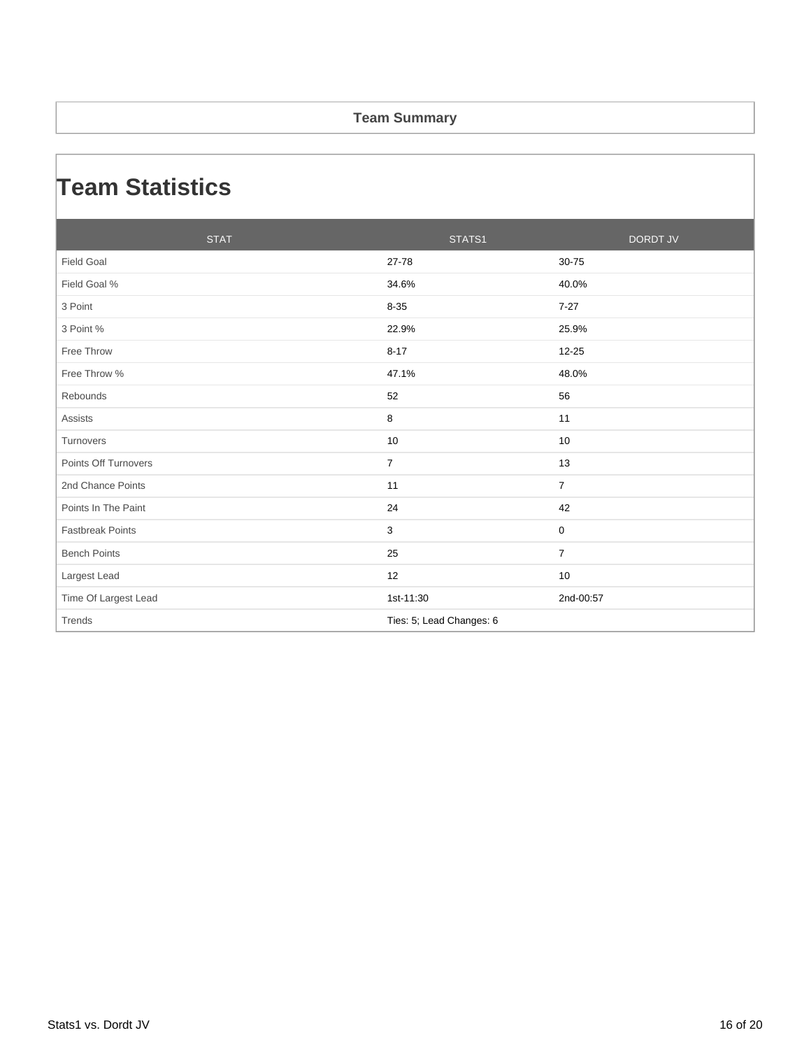#### **Team Summary**

### **Team Statistics**

| <b>STAT</b>             | STATS1                   | <b>DORDT JV</b> |
|-------------------------|--------------------------|-----------------|
| <b>Field Goal</b>       | 27-78                    | 30-75           |
| Field Goal %            | 34.6%                    | 40.0%           |
| 3 Point                 | $8 - 35$                 | $7 - 27$        |
| 3 Point %               | 22.9%                    | 25.9%           |
| Free Throw              | $8 - 17$                 | 12-25           |
| Free Throw %            | 47.1%                    | 48.0%           |
| Rebounds                | 52                       | 56              |
| <b>Assists</b>          | 8                        | 11              |
| Turnovers               | 10                       | 10              |
| Points Off Turnovers    | $\overline{7}$           | 13              |
| 2nd Chance Points       | 11                       | $\overline{7}$  |
| Points In The Paint     | 24                       | 42              |
| <b>Fastbreak Points</b> | 3                        | 0               |
| <b>Bench Points</b>     | 25                       | $\overline{7}$  |
| Largest Lead            | 12                       | 10              |
| Time Of Largest Lead    | 1st-11:30                | 2nd-00:57       |
| Trends                  | Ties: 5; Lead Changes: 6 |                 |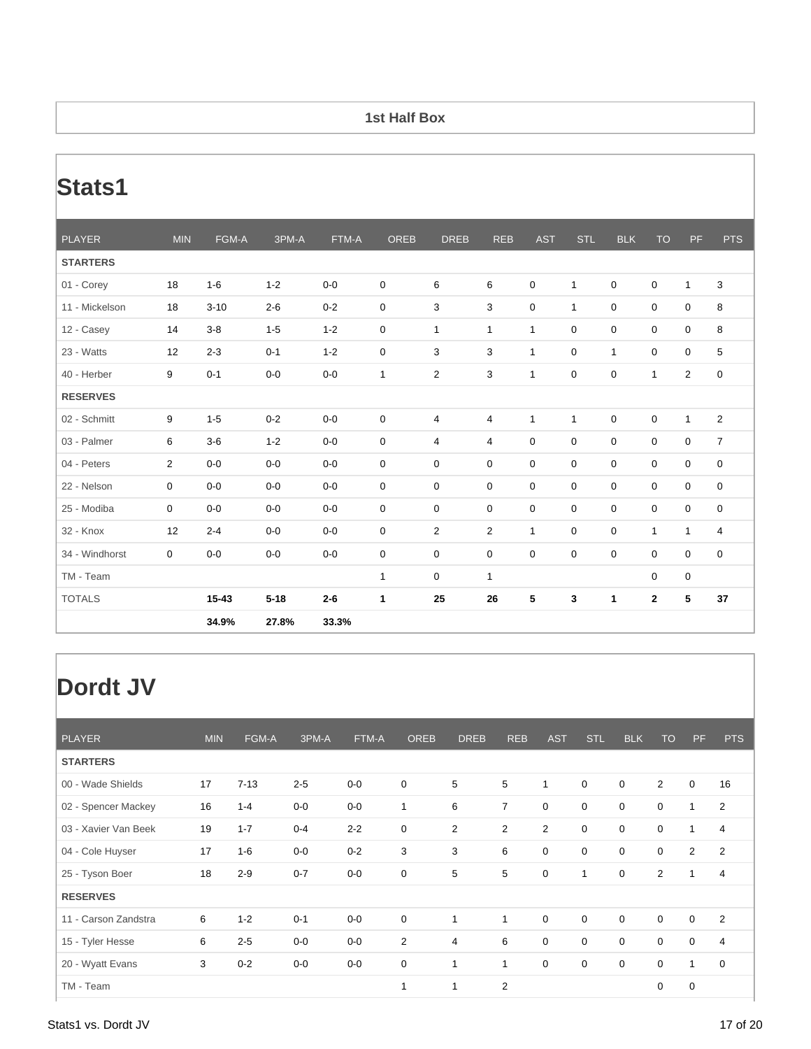#### **1st Half Box**

# **Stats1**

| <b>PLAYER</b>   | <b>MIN</b>     | FGM-A    | 3PM-A    | FTM-A   | <b>OREB</b>  | <b>DREB</b>      | <b>REB</b>     | <b>AST</b>   | <b>STL</b>   | <b>BLK</b>   | <b>TO</b>    | <b>PF</b>      | <b>PTS</b>     |
|-----------------|----------------|----------|----------|---------|--------------|------------------|----------------|--------------|--------------|--------------|--------------|----------------|----------------|
| <b>STARTERS</b> |                |          |          |         |              |                  |                |              |              |              |              |                |                |
| 01 - Corey      | 18             | $1-6$    | $1 - 2$  | $0-0$   | 0            | 6                | 6              | 0            | $\mathbf{1}$ | $\mathbf 0$  | 0            | $\mathbf{1}$   | 3              |
| 11 - Mickelson  | 18             | $3 - 10$ | $2 - 6$  | $0 - 2$ | 0            | 3                | 3              | 0            | $\mathbf{1}$ | $\mathbf 0$  | $\mathbf 0$  | $\mathbf 0$    | 8              |
| 12 - Casey      | 14             | $3-8$    | $1 - 5$  | $1 - 2$ | 0            | $\mathbf{1}$     | $\mathbf{1}$   | $\mathbf{1}$ | 0            | $\mathbf 0$  | $\mathbf 0$  | 0              | 8              |
| 23 - Watts      | 12             | $2 - 3$  | $0 - 1$  | $1 - 2$ | 0            | 3                | 3              | $\mathbf{1}$ | 0            | $\mathbf{1}$ | $\mathbf 0$  | $\mathbf 0$    | 5              |
| 40 - Herber     | 9              | $0 - 1$  | $0-0$    | $0-0$   | $\mathbf{1}$ | $\overline{c}$   | 3              | 1            | 0            | $\pmb{0}$    | $\mathbf{1}$ | $\overline{2}$ | $\mathbf 0$    |
| <b>RESERVES</b> |                |          |          |         |              |                  |                |              |              |              |              |                |                |
| 02 - Schmitt    | 9              | $1 - 5$  | $0 - 2$  | $0-0$   | $\mathbf 0$  | $\overline{4}$   | 4              | $\mathbf{1}$ | $\mathbf{1}$ | $\pmb{0}$    | $\mathsf 0$  | $\mathbf{1}$   | $\overline{2}$ |
| 03 - Palmer     | 6              | $3-6$    | $1 - 2$  | $0-0$   | 0            | 4                | 4              | 0            | 0            | $\pmb{0}$    | $\mathbf 0$  | $\mathbf 0$    | $\overline{7}$ |
| 04 - Peters     | $\overline{2}$ | $0 - 0$  | $0-0$    | $0-0$   | 0            | $\mathbf 0$      | $\mathbf 0$    | $\mathbf 0$  | $\mathbf 0$  | $\mathbf 0$  | $\mathbf 0$  | $\mathbf 0$    | $\mathbf 0$    |
| 22 - Nelson     | 0              | $0-0$    | $0-0$    | $0-0$   | 0            | $\mathbf 0$      | $\mathbf 0$    | $\mathbf 0$  | $\mathbf 0$  | $\mathbf 0$  | $\mathbf 0$  | $\mathbf 0$    | $\mathbf 0$    |
| 25 - Modiba     | 0              | $0-0$    | $0-0$    | $0-0$   | 0            | $\boldsymbol{0}$ | 0              | $\mathbf 0$  | 0            | $\pmb{0}$    | $\mathbf 0$  | $\mathbf 0$    | $\mathbf 0$    |
| 32 - Knox       | 12             | $2 - 4$  | $0-0$    | $0-0$   | 0            | 2                | $\overline{c}$ | $\mathbf{1}$ | 0            | $\mathbf 0$  | $\mathbf{1}$ | 1              | 4              |
| 34 - Windhorst  | 0              | $0 - 0$  | $0-0$    | $0-0$   | 0            | $\mathbf 0$      | $\mathbf 0$    | $\mathbf 0$  | $\mathbf 0$  | $\mathbf 0$  | 0            | $\mathbf 0$    | $\mathbf 0$    |
| TM - Team       |                |          |          |         | $\mathbf{1}$ | $\mathbf 0$      | $\mathbf{1}$   |              |              |              | 0            | $\mathbf 0$    |                |
| <b>TOTALS</b>   |                | 15-43    | $5 - 18$ | $2-6$   | 1            | 25               | 26             | 5            | 3            | 1            | $\mathbf{2}$ | 5              | 37             |
|                 |                | 34.9%    | 27.8%    | 33.3%   |              |                  |                |              |              |              |              |                |                |

## **Dordt JV**

| <b>PLAYER</b>        | <b>MIN</b> | FGM-A    | 3PM-A   | FTM-A   | <b>OREB</b>    | <b>DREB</b>    | <b>REB</b>     | <b>AST</b>     | <b>STL</b>   | <b>BLK</b>  | <b>TO</b>      | PF             | <b>PTS</b>     |
|----------------------|------------|----------|---------|---------|----------------|----------------|----------------|----------------|--------------|-------------|----------------|----------------|----------------|
| <b>STARTERS</b>      |            |          |         |         |                |                |                |                |              |             |                |                |                |
| 00 - Wade Shields    | 17         | $7 - 13$ | $2 - 5$ | $0-0$   | $\mathbf 0$    | 5              | 5              | 1              | $\mathbf 0$  | $\mathbf 0$ | $\overline{2}$ | $\mathbf 0$    | 16             |
| 02 - Spencer Mackey  | 16         | $1 - 4$  | $0-0$   | $0-0$   | $\mathbf{1}$   | 6              | $\overline{7}$ | $\mathbf 0$    | $\mathbf 0$  | $\mathbf 0$ | $\mathbf 0$    | 1              | 2              |
| 03 - Xavier Van Beek | 19         | $1 - 7$  | $0 - 4$ | $2 - 2$ | $\mathbf 0$    | $\overline{2}$ | $\overline{2}$ | $\overline{2}$ | $\mathbf 0$  | 0           | 0              | 1              | 4              |
| 04 - Cole Huyser     | 17         | $1 - 6$  | $0-0$   | $0 - 2$ | 3              | 3              | 6              | 0              | $\mathbf 0$  | 0           | $\mathbf 0$    | $\overline{2}$ | 2              |
| 25 - Tyson Boer      | 18         | $2 - 9$  | $0 - 7$ | $0-0$   | 0              | 5              | 5              | $\mathbf 0$    | $\mathbf{1}$ | 0           | $\overline{2}$ | $\mathbf{1}$   | $\overline{4}$ |
| <b>RESERVES</b>      |            |          |         |         |                |                |                |                |              |             |                |                |                |
| 11 - Carson Zandstra | 6          | $1 - 2$  | $0 - 1$ | $0-0$   | $\mathbf 0$    | 1              | 1              | $\mathbf 0$    | $\mathbf 0$  | $\mathbf 0$ | $\mathbf 0$    | $\mathbf 0$    | 2              |
| 15 - Tyler Hesse     | 6          | $2 - 5$  | $0-0$   | $0-0$   | $\overline{2}$ | $\overline{4}$ | 6              | 0              | $\mathbf 0$  | 0           | 0              | $\mathbf 0$    | $\overline{4}$ |
| 20 - Wyatt Evans     | 3          | $0 - 2$  | $0-0$   | $0-0$   | $\mathbf 0$    | 1              | 1              | $\mathbf 0$    | $\mathbf 0$  | $\mathbf 0$ | 0              | $\mathbf{1}$   | $\mathbf 0$    |
| TM - Team            |            |          |         |         | $\mathbf{1}$   | $\mathbf{1}$   | $\overline{2}$ |                |              |             | 0              | $\mathbf 0$    |                |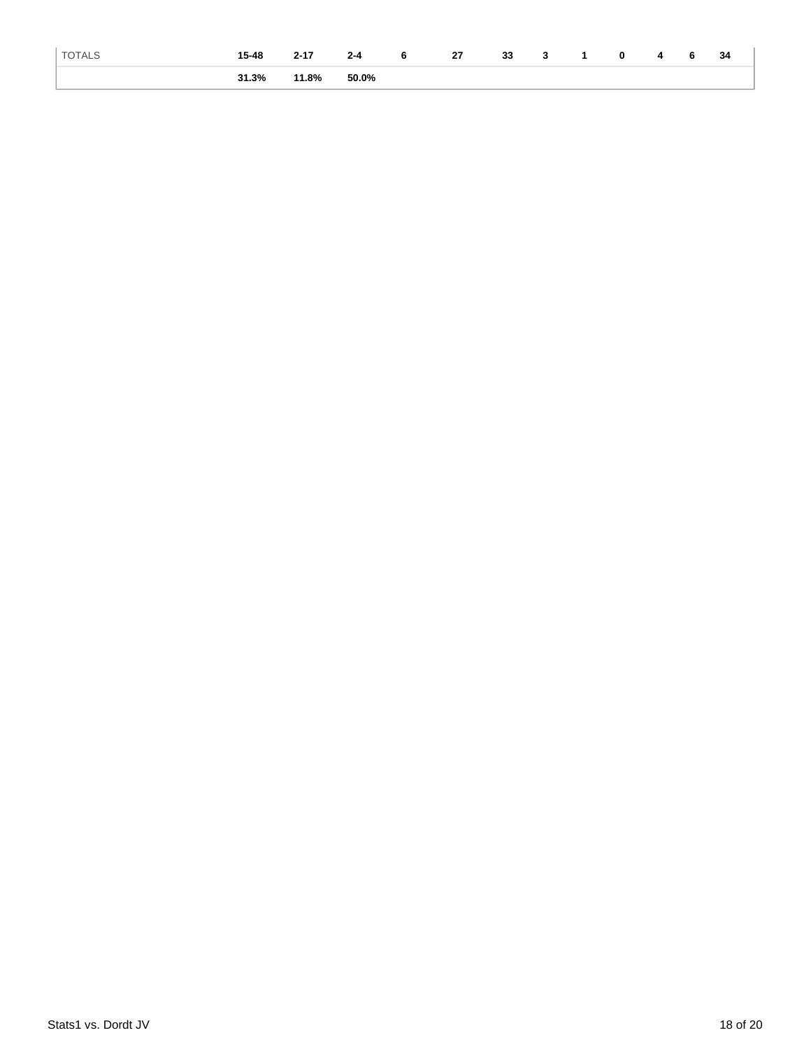| <b>TOTALS</b> | $15 - 48$ | $2 - 17$ | $2 - 4$ | 6 | 27 | 33 |  | 0 |  | 34 |
|---------------|-----------|----------|---------|---|----|----|--|---|--|----|
|               | 31.3%     | 11.8%    | 50.0%   |   |    |    |  |   |  |    |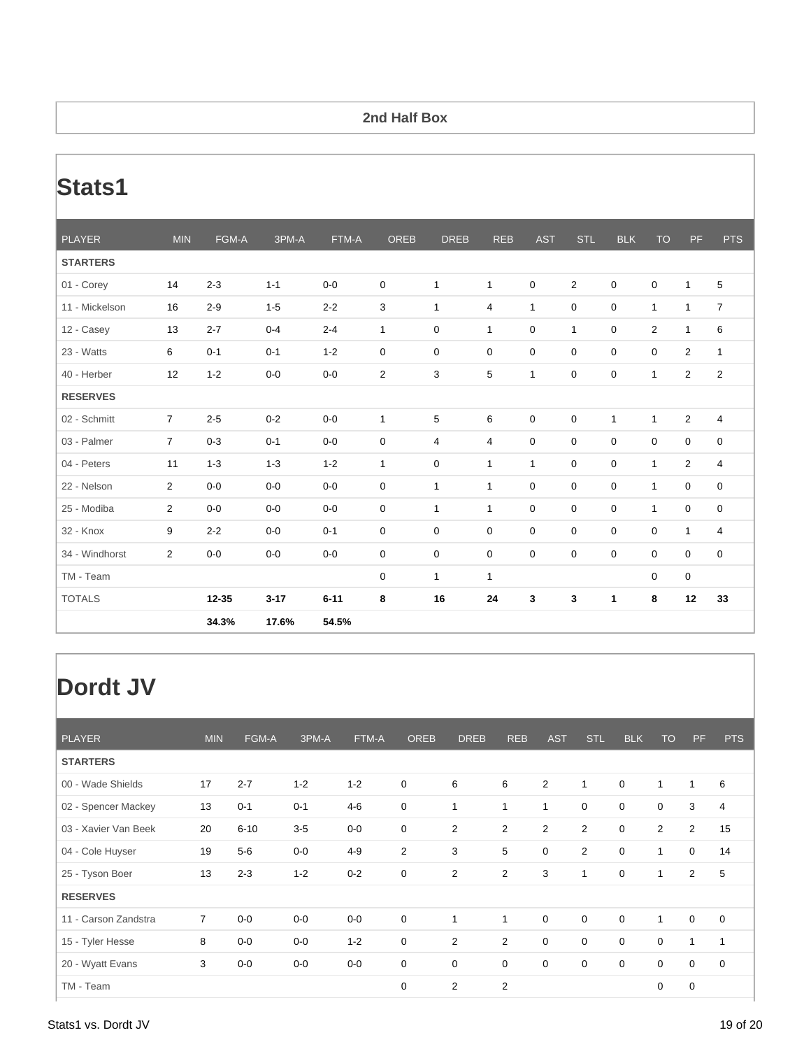#### **2nd Half Box**

# **Stats1**

| <b>PLAYER</b>   | <b>MIN</b>     | FGM-A   | 3PM-A    | FTM-A    | <b>OREB</b>    | <b>DREB</b>    | <b>REB</b>     | <b>AST</b>   | <b>STL</b>     | <b>BLK</b>   | <b>TO</b>      | PF               | <b>PTS</b>     |
|-----------------|----------------|---------|----------|----------|----------------|----------------|----------------|--------------|----------------|--------------|----------------|------------------|----------------|
| <b>STARTERS</b> |                |         |          |          |                |                |                |              |                |              |                |                  |                |
| 01 - Corey      | 14             | $2 - 3$ | $1 - 1$  | $0-0$    | $\mathbf 0$    | $\mathbf{1}$   | $\mathbf{1}$   | 0            | $\overline{2}$ | 0            | 0              | $\mathbf{1}$     | 5              |
| 11 - Mickelson  | 16             | $2 - 9$ | $1 - 5$  | $2 - 2$  | 3              | $\mathbf{1}$   | $\overline{4}$ | $\mathbf{1}$ | $\mathbf 0$    | 0            | $\mathbf{1}$   | $\mathbf{1}$     | $\overline{7}$ |
| 12 - Casey      | 13             | $2 - 7$ | $0 - 4$  | $2 - 4$  | $\mathbf{1}$   | $\mathbf 0$    | $\mathbf{1}$   | 0            | $\mathbf{1}$   | 0            | $\overline{2}$ | $\mathbf{1}$     | 6              |
| 23 - Watts      | 6              | $0 - 1$ | $0 - 1$  | $1 - 2$  | $\mathbf 0$    | $\mathbf 0$    | $\mathbf 0$    | $\mathbf 0$  | $\mathbf 0$    | 0            | 0              | $\overline{2}$   | $\mathbf{1}$   |
| 40 - Herber     | 12             | $1 - 2$ | $0-0$    | $0-0$    | $\overline{2}$ | 3              | 5              | 1            | $\mathbf 0$    | 0            | $\mathbf{1}$   | $\overline{2}$   | $\overline{2}$ |
| <b>RESERVES</b> |                |         |          |          |                |                |                |              |                |              |                |                  |                |
| 02 - Schmitt    | $\overline{7}$ | $2 - 5$ | $0 - 2$  | $0-0$    | $\mathbf{1}$   | 5              | 6              | $\mathbf 0$  | $\mathbf 0$    | $\mathbf{1}$ | $\mathbf{1}$   | $\overline{2}$   | 4              |
| 03 - Palmer     | $\overline{7}$ | $0 - 3$ | $0 - 1$  | $0-0$    | $\mathbf 0$    | $\overline{4}$ | $\overline{4}$ | 0            | $\mathbf 0$    | 0            | 0              | $\boldsymbol{0}$ | 0              |
| 04 - Peters     | 11             | $1 - 3$ | $1 - 3$  | $1 - 2$  | $\mathbf{1}$   | $\mathbf 0$    | $\mathbf{1}$   | $\mathbf{1}$ | $\mathbf 0$    | $\mathbf 0$  | $\mathbf{1}$   | $\overline{2}$   | 4              |
| 22 - Nelson     | $\overline{2}$ | $0-0$   | $0-0$    | $0-0$    | $\mathbf 0$    | $\mathbf{1}$   | $\mathbf{1}$   | $\mathbf 0$  | $\mathbf 0$    | $\mathbf 0$  | $\mathbf{1}$   | $\mathbf 0$      | 0              |
| 25 - Modiba     | $\overline{2}$ | $0-0$   | $0-0$    | $0-0$    | $\mathbf 0$    | $\mathbf{1}$   | $\mathbf{1}$   | $\mathbf 0$  | $\mathbf 0$    | $\mathbf 0$  | $\mathbf{1}$   | $\mathbf 0$      | 0              |
| 32 - Knox       | 9              | $2 - 2$ | $0-0$    | $0 - 1$  | $\mathbf 0$    | $\mathbf 0$    | $\mathbf 0$    | $\mathbf 0$  | $\mathbf 0$    | 0            | 0              | $\mathbf{1}$     | 4              |
| 34 - Windhorst  | $\overline{2}$ | $0 - 0$ | $0-0$    | $0-0$    | $\mathbf 0$    | $\mathbf 0$    | $\mathbf 0$    | $\mathbf 0$  | $\mathbf 0$    | $\mathbf 0$  | 0              | $\mathbf 0$      | $\mathbf 0$    |
| TM - Team       |                |         |          |          | $\mathbf 0$    | $\mathbf{1}$   | $\mathbf{1}$   |              |                |              | 0              | 0                |                |
| <b>TOTALS</b>   |                | 12-35   | $3 - 17$ | $6 - 11$ | 8              | 16             | 24             | 3            | 3              | 1            | 8              | 12               | 33             |
|                 |                | 34.3%   | 17.6%    | 54.5%    |                |                |                |              |                |              |                |                  |                |

## **Dordt JV**

| <b>PLAYER</b>        | <b>MIN</b>     | FGM-A    | 3PM-A   | FTM-A   | <b>OREB</b>      | <b>DREB</b> | <b>REB</b>     | <b>AST</b>       | <b>STL</b>     | <b>BLK</b>  | <b>TO</b>    | PF             | <b>PTS</b>  |
|----------------------|----------------|----------|---------|---------|------------------|-------------|----------------|------------------|----------------|-------------|--------------|----------------|-------------|
| <b>STARTERS</b>      |                |          |         |         |                  |             |                |                  |                |             |              |                |             |
| 00 - Wade Shields    | 17             | $2 - 7$  | $1 - 2$ | $1 - 2$ | 0                | 6           | 6              | $\overline{2}$   | $\mathbf{1}$   | $\mathbf 0$ | $\mathbf{1}$ | 1              | 6           |
| 02 - Spencer Mackey  | 13             | $0 - 1$  | $0 - 1$ | $4 - 6$ | $\boldsymbol{0}$ | 1           | 1              | $\mathbf{1}$     | $\mathbf 0$    | $\mathbf 0$ | $\mathbf 0$  | 3              | 4           |
| 03 - Xavier Van Beek | 20             | $6 - 10$ | $3-5$   | $0-0$   | 0                | 2           | $\overline{2}$ | $\overline{2}$   | $\overline{2}$ | $\mathbf 0$ | 2            | $\overline{2}$ | 15          |
| 04 - Cole Huyser     | 19             | $5-6$    | $0-0$   | $4 - 9$ | $\overline{2}$   | 3           | 5              | 0                | $\overline{2}$ | $\mathbf 0$ | $\mathbf{1}$ | $\mathbf 0$    | 14          |
| 25 - Tyson Boer      | 13             | $2 - 3$  | $1 - 2$ | $0 - 2$ | 0                | 2           | $\overline{2}$ | 3                | $\mathbf{1}$   | $\mathbf 0$ | $\mathbf{1}$ | $\overline{2}$ | 5           |
| <b>RESERVES</b>      |                |          |         |         |                  |             |                |                  |                |             |              |                |             |
| 11 - Carson Zandstra | $\overline{7}$ | $0-0$    | $0-0$   | $0-0$   | $\boldsymbol{0}$ | 1           | 1              | $\boldsymbol{0}$ | $\mathbf 0$    | $\mathbf 0$ | $\mathbf{1}$ | $\mathbf 0$    | $\mathbf 0$ |
| 15 - Tyler Hesse     | 8              | $0-0$    | $0-0$   | $1 - 2$ | 0                | 2           | $\overline{2}$ | $\mathbf 0$      | $\mathbf 0$    | $\mathbf 0$ | $\mathbf 0$  | 1              | 1           |
| 20 - Wyatt Evans     | 3              | $0-0$    | $0-0$   | $0-0$   | $\boldsymbol{0}$ | $\mathbf 0$ | $\mathbf 0$    | $\boldsymbol{0}$ | $\mathbf 0$    | $\mathbf 0$ | $\mathbf 0$  | $\mathbf 0$    | $\mathbf 0$ |
| TM - Team            |                |          |         |         | 0                | 2           | $\overline{2}$ |                  |                |             | $\mathbf 0$  | $\mathbf 0$    |             |